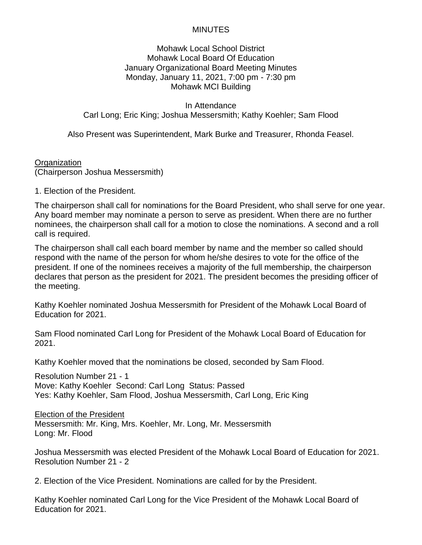#### Mohawk Local School District Mohawk Local Board Of Education January Organizational Board Meeting Minutes Monday, January 11, 2021, 7:00 pm - 7:30 pm Mohawk MCI Building

In Attendance Carl Long; Eric King; Joshua Messersmith; Kathy Koehler; Sam Flood

Also Present was Superintendent, Mark Burke and Treasurer, Rhonda Feasel.

**Organization** (Chairperson Joshua Messersmith)

1. Election of the President.

The chairperson shall call for nominations for the Board President, who shall serve for one year. Any board member may nominate a person to serve as president. When there are no further nominees, the chairperson shall call for a motion to close the nominations. A second and a roll call is required.

The chairperson shall call each board member by name and the member so called should respond with the name of the person for whom he/she desires to vote for the office of the president. If one of the nominees receives a majority of the full membership, the chairperson declares that person as the president for 2021. The president becomes the presiding officer of the meeting.

Kathy Koehler nominated Joshua Messersmith for President of the Mohawk Local Board of Education for 2021.

Sam Flood nominated Carl Long for President of the Mohawk Local Board of Education for 2021.

Kathy Koehler moved that the nominations be closed, seconded by Sam Flood.

Resolution Number 21 - 1 Move: Kathy Koehler Second: Carl Long Status: Passed Yes: Kathy Koehler, Sam Flood, Joshua Messersmith, Carl Long, Eric King

Election of the President

Messersmith: Mr. King, Mrs. Koehler, Mr. Long, Mr. Messersmith Long: Mr. Flood

Joshua Messersmith was elected President of the Mohawk Local Board of Education for 2021. Resolution Number 21 - 2

2. Election of the Vice President. Nominations are called for by the President.

Kathy Koehler nominated Carl Long for the Vice President of the Mohawk Local Board of Education for 2021.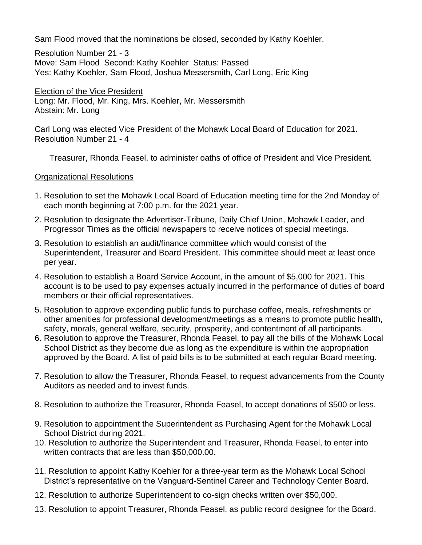Sam Flood moved that the nominations be closed, seconded by Kathy Koehler.

Resolution Number 21 - 3 Move: Sam Flood Second: Kathy Koehler Status: Passed Yes: Kathy Koehler, Sam Flood, Joshua Messersmith, Carl Long, Eric King

Election of the Vice President Long: Mr. Flood, Mr. King, Mrs. Koehler, Mr. Messersmith Abstain: Mr. Long

Carl Long was elected Vice President of the Mohawk Local Board of Education for 2021. Resolution Number 21 - 4

Treasurer, Rhonda Feasel, to administer oaths of office of President and Vice President.

#### Organizational Resolutions

- 1. Resolution to set the Mohawk Local Board of Education meeting time for the 2nd Monday of each month beginning at 7:00 p.m. for the 2021 year.
- 2. Resolution to designate the Advertiser-Tribune, Daily Chief Union, Mohawk Leader, and Progressor Times as the official newspapers to receive notices of special meetings.
- 3. Resolution to establish an audit/finance committee which would consist of the Superintendent, Treasurer and Board President. This committee should meet at least once per year.
- 4. Resolution to establish a Board Service Account, in the amount of \$5,000 for 2021. This account is to be used to pay expenses actually incurred in the performance of duties of board members or their official representatives.
- 5. Resolution to approve expending public funds to purchase coffee, meals, refreshments or other amenities for professional development/meetings as a means to promote public health, safety, morals, general welfare, security, prosperity, and contentment of all participants.
- 6. Resolution to approve the Treasurer, Rhonda Feasel, to pay all the bills of the Mohawk Local School District as they become due as long as the expenditure is within the appropriation approved by the Board. A list of paid bills is to be submitted at each regular Board meeting.
- 7. Resolution to allow the Treasurer, Rhonda Feasel, to request advancements from the County Auditors as needed and to invest funds.
- 8. Resolution to authorize the Treasurer, Rhonda Feasel, to accept donations of \$500 or less.
- 9. Resolution to appointment the Superintendent as Purchasing Agent for the Mohawk Local School District during 2021.
- 10. Resolution to authorize the Superintendent and Treasurer, Rhonda Feasel, to enter into written contracts that are less than \$50,000.00.
- 11. Resolution to appoint Kathy Koehler for a three-year term as the Mohawk Local School District's representative on the Vanguard-Sentinel Career and Technology Center Board.
- 12. Resolution to authorize Superintendent to co-sign checks written over \$50,000.
- 13. Resolution to appoint Treasurer, Rhonda Feasel, as public record designee for the Board.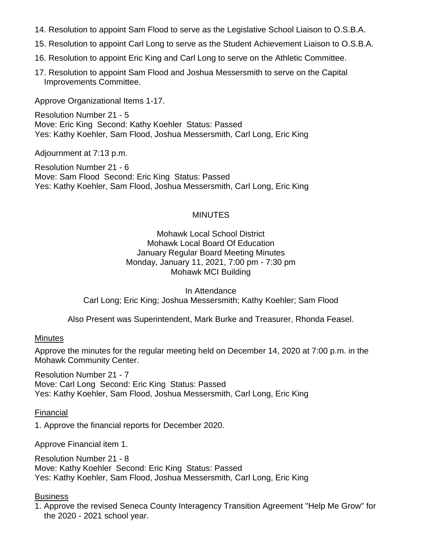- 14. Resolution to appoint Sam Flood to serve as the Legislative School Liaison to O.S.B.A.
- 15. Resolution to appoint Carl Long to serve as the Student Achievement Liaison to O.S.B.A.
- 16. Resolution to appoint Eric King and Carl Long to serve on the Athletic Committee.
- 17. Resolution to appoint Sam Flood and Joshua Messersmith to serve on the Capital Improvements Committee.

Approve Organizational Items 1-17.

Resolution Number 21 - 5 Move: Eric King Second: Kathy Koehler Status: Passed Yes: Kathy Koehler, Sam Flood, Joshua Messersmith, Carl Long, Eric King

Adjournment at 7:13 p.m.

Resolution Number 21 - 6 Move: Sam Flood Second: Eric King Status: Passed Yes: Kathy Koehler, Sam Flood, Joshua Messersmith, Carl Long, Eric King

#### MINUTES

Mohawk Local School District Mohawk Local Board Of Education January Regular Board Meeting Minutes Monday, January 11, 2021, 7:00 pm - 7:30 pm Mohawk MCI Building

In Attendance Carl Long; Eric King; Joshua Messersmith; Kathy Koehler; Sam Flood

Also Present was Superintendent, Mark Burke and Treasurer, Rhonda Feasel.

#### **Minutes**

Approve the minutes for the regular meeting held on December 14, 2020 at 7:00 p.m. in the Mohawk Community Center.

Resolution Number 21 - 7 Move: Carl Long Second: Eric King Status: Passed Yes: Kathy Koehler, Sam Flood, Joshua Messersmith, Carl Long, Eric King

#### Financial

1. Approve the financial reports for December 2020.

Approve Financial item 1.

Resolution Number 21 - 8 Move: Kathy Koehler Second: Eric King Status: Passed Yes: Kathy Koehler, Sam Flood, Joshua Messersmith, Carl Long, Eric King

#### **Business**

1. Approve the revised Seneca County Interagency Transition Agreement "Help Me Grow" for the 2020 - 2021 school year.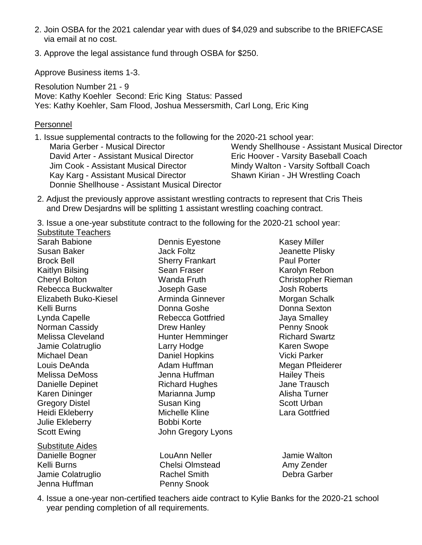- 2. Join OSBA for the 2021 calendar year with dues of \$4,029 and subscribe to the BRIEFCASE via email at no cost.
- 3. Approve the legal assistance fund through OSBA for \$250.

Approve Business items 1-3.

Resolution Number 21 - 9 Move: Kathy Koehler Second: Eric King Status: Passed Yes: Kathy Koehler, Sam Flood, Joshua Messersmith, Carl Long, Eric King

#### **Personnel**

1. Issue supplemental contracts to the following for the 2020-21 school year: Maria Gerber - Musical Director David Arter - Assistant Musical Director Jim Cook - Assistant Musical Director Kay Karg - Assistant Musical Director Donnie Shellhouse - Assistant Musical Director Wendy Shellhouse - Assistant Musical Director Eric Hoover - Varsity Baseball Coach Mindy Walton - Varsity Softball Coach Shawn Kirian - JH Wrestling Coach

- 2. Adjust the previously approve assistant wrestling contracts to represent that Cris Theis and Drew Desjardns will be splitting 1 assistant wrestling coaching contract.
- 3. Issue a one-year substitute contract to the following for the 2020-21 school year:

Substitute Teachers

Sarah Babione Susan Baker Brock Bell Kaitlyn Bilsing Cheryl Bolton Rebecca Buckwalter Elizabeth Buko-Kiesel Kelli Burns Lynda Capelle Norman Cassidy Melissa Cleveland Jamie Colatruglio Michael Dean Louis DeAnda Melissa DeMoss Danielle Depinet Karen Dininger Gregory Distel Heidi Ekleberry Julie Ekleberry Scott Ewing

Substitute Aides Danielle Bogner Kelli Burns Jamie Colatruglio Jenna Huffman

Dennis Eyestone Jack Foltz Sherry Frankart Sean Fraser Wanda Fruth Joseph Gase Arminda Ginnever Donna Goshe Rebecca Gottfried Drew Hanley Hunter Hemminger Larry Hodge Daniel Hopkins Adam Huffman Jenna Huffman Richard Hughes Marianna Jump Susan King Michelle Kline Bobbi Korte John Gregory Lyons

Kasey Miller Jeanette Plisky Paul Porter Karolyn Rebon Christopher Rieman Josh Roberts Morgan Schalk Donna Sexton Jaya Smalley Penny Snook Richard Swartz Karen Swope Vicki Parker Megan Pfleiderer Hailey Theis Jane Trausch Alisha Turner Scott Urban Lara Gottfried

LouAnn Neller Chelsi Olmstead Rachel Smith Penny Snook

Jamie Walton Amy Zender Debra Garber

4. Issue a one-year non-certified teachers aide contract to Kylie Banks for the 2020-21 school year pending completion of all requirements.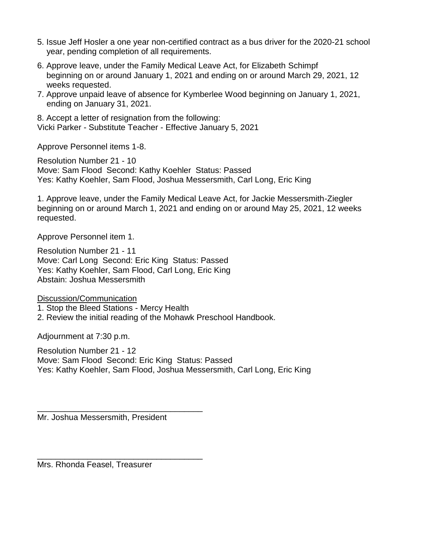- 5. Issue Jeff Hosler a one year non-certified contract as a bus driver for the 2020-21 school year, pending completion of all requirements.
- 6. Approve leave, under the Family Medical Leave Act, for Elizabeth Schimpf beginning on or around January 1, 2021 and ending on or around March 29, 2021, 12 weeks requested.
- 7. Approve unpaid leave of absence for Kymberlee Wood beginning on January 1, 2021, ending on January 31, 2021.

8. Accept a letter of resignation from the following: Vicki Parker - Substitute Teacher - Effective January 5, 2021

Approve Personnel items 1-8.

Resolution Number 21 - 10 Move: Sam Flood Second: Kathy Koehler Status: Passed Yes: Kathy Koehler, Sam Flood, Joshua Messersmith, Carl Long, Eric King

1. Approve leave, under the Family Medical Leave Act, for Jackie Messersmith-Ziegler beginning on or around March 1, 2021 and ending on or around May 25, 2021, 12 weeks requested.

Approve Personnel item 1.

Resolution Number 21 - 11 Move: Carl Long Second: Eric King Status: Passed Yes: Kathy Koehler, Sam Flood, Carl Long, Eric King Abstain: Joshua Messersmith

Discussion/Communication

1. Stop the Bleed Stations - Mercy Health

2. Review the initial reading of the Mohawk Preschool Handbook.

Adjournment at 7:30 p.m.

Resolution Number 21 - 12 Move: Sam Flood Second: Eric King Status: Passed Yes: Kathy Koehler, Sam Flood, Joshua Messersmith, Carl Long, Eric King

Mr. Joshua Messersmith, President

\_\_\_\_\_\_\_\_\_\_\_\_\_\_\_\_\_\_\_\_\_\_\_\_\_\_\_\_\_\_\_\_\_\_\_\_

\_\_\_\_\_\_\_\_\_\_\_\_\_\_\_\_\_\_\_\_\_\_\_\_\_\_\_\_\_\_\_\_\_\_\_\_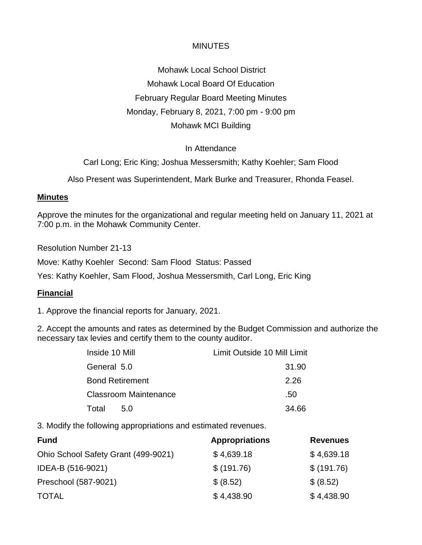Mohawk Local School District Mohawk Local Board Of Education February Regular Board Meeting Minutes Monday, February 8, 2021, 7:00 pm - 9:00 pm Mohawk MCI Building

#### In Attendance

Carl Long; Eric King; Joshua Messersmith; Kathy Koehler; Sam Flood

Also Present was Superintendent, Mark Burke and Treasurer, Rhonda Feasel.

#### **Minutes**

Approve the minutes for the organizational and regular meeting held on January 11, 2021 at 7:00 p.m. in the Mohawk Community Center.

Resolution Number 21-13

Move: Kathy Koehler Second: Sam Flood Status: Passed

Yes: Kathy Koehler, Sam Flood, Joshua Messersmith, Carl Long, Eric King

#### **Financial**

1. Approve the financial reports for January, 2021.

2. Accept the amounts and rates as determined by the Budget Commission and authorize the necessary tax levies and certify them to the county auditor.

| Inside 10 Mill               | Limit Outside 10 Mill Limit |
|------------------------------|-----------------------------|
| General 5.0                  | 31.90                       |
| <b>Bond Retirement</b>       | 2.26                        |
| <b>Classroom Maintenance</b> | .50                         |
| Total<br>5.0                 | 34.66                       |

3. Modify the following appropriations and estimated revenues.

| <b>Fund</b>                         | <b>Appropriations</b> | <b>Revenues</b> |
|-------------------------------------|-----------------------|-----------------|
| Ohio School Safety Grant (499-9021) | \$4,639.18            | \$4,639.18      |
| IDEA-B (516-9021)                   | \$ (191.76)           | \$ (191.76)     |
| Preschool (587-9021)                | \$ (8.52)             | \$ (8.52)       |
| <b>TOTAL</b>                        | \$4,438.90            | \$4,438.90      |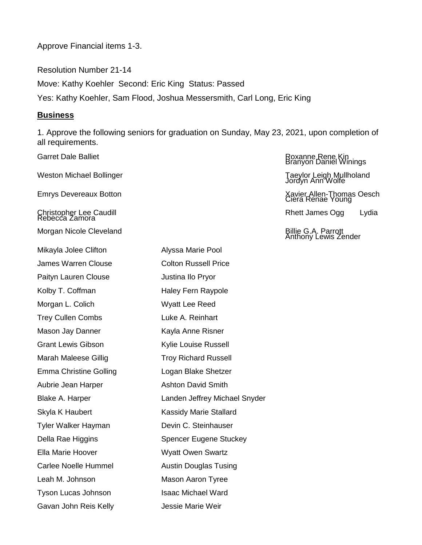Approve Financial items 1-3.

Resolution Number 21-14 Move: Kathy Koehler Second: Eric King Status: Passed Yes: Kathy Koehler, Sam Flood, Joshua Messersmith, Carl Long, Eric King

#### **Business**

1. Approve the following seniors for graduation on Sunday, May 23, 2021, upon completion of all requirements.

Garret Dale Balliet **Royal Executes Access 2018** Roxanne Rene Kin Branyon Daniel Winings Weston Michael Bollinger Taeylor Leigh Mullholand<br>Jordyn Ann Wolfe Emrys Devereaux Botton Xavier Allen-Thomas Oesch Ciera Renae Young Christopher Lee Caudill<br>Rebecca Zamora Mikayla Jolee Clifton **Alyssa Marie Pool** James Warren Clouse Colton Russell Price Paityn Lauren Clouse **Justina Ilo Pryor** Kolby T. Coffman Haley Fern Raypole Morgan L. Colich Wyatt Lee Reed Trey Cullen Combs **Luke A. Reinhart** Mason Jay Danner Kayla Anne Risner Grant Lewis Gibson Kylie Louise Russell Marah Maleese Gillig Troy Richard Russell Emma Christine Golling Logan Blake Shetzer Aubrie Jean Harper **Ashton David Smith** Skyla K Haubert Kassidy Marie Stallard Tyler Walker Hayman Devin C. Steinhauser Della Rae Higgins Spencer Eugene Stuckey Ella Marie Hoover Wyatt Owen Swartz Carlee Noelle Hummel **Austin Douglas Tusing** Leah M. Johnson Mason Aaron Tyree Tyson Lucas Johnson **Isaac Michael Ward** Gavan John Reis Kelly **Jessie Marie Weir** 

Morgan Nicole Cleveland **Billie G.A. Parrott** Billie G.A. Parrott Billie G.A. Parrott **Billie G.A. Parrott** Anthony Lewis Zender Blake A. Harper **Landen Jeffrey Michael Snyder**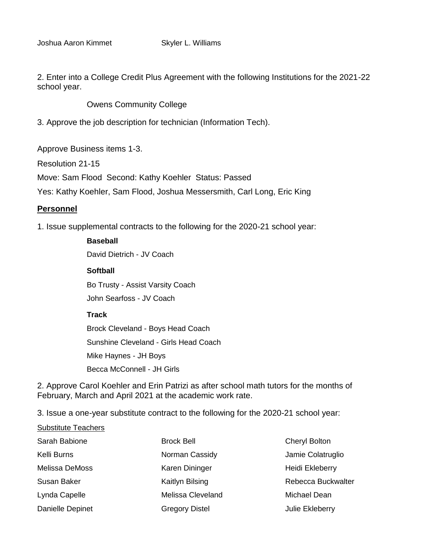2. Enter into a College Credit Plus Agreement with the following Institutions for the 2021-22 school year.

Owens Community College

3. Approve the job description for technician (Information Tech).

Approve Business items 1-3.

Resolution 21-15

Move: Sam Flood Second: Kathy Koehler Status: Passed

Yes: Kathy Koehler, Sam Flood, Joshua Messersmith, Carl Long, Eric King

#### **Personnel**

1. Issue supplemental contracts to the following for the 2020-21 school year:

#### **Baseball**

David Dietrich - JV Coach

#### **Softball**

Bo Trusty - Assist Varsity Coach John Searfoss - JV Coach

#### **Track**

Brock Cleveland - Boys Head Coach Sunshine Cleveland - Girls Head Coach Mike Haynes - JH Boys Becca McConnell - JH Girls

2. Approve Carol Koehler and Erin Patrizi as after school math tutors for the months of February, March and April 2021 at the academic work rate.

3. Issue a one-year substitute contract to the following for the 2020-21 school year:

Substitute Teachers

| Sarah Babione    | <b>Brock Bell</b>     | <b>Cheryl Bolton</b> |
|------------------|-----------------------|----------------------|
| Kelli Burns      | Norman Cassidy        | Jamie Colatruglio    |
| Melissa DeMoss   | Karen Dininger        | Heidi Ekleberry      |
| Susan Baker      | Kaitlyn Bilsing       | Rebecca Buckwalter   |
| Lynda Capelle    | Melissa Cleveland     | Michael Dean         |
| Danielle Depinet | <b>Gregory Distel</b> | Julie Ekleberry      |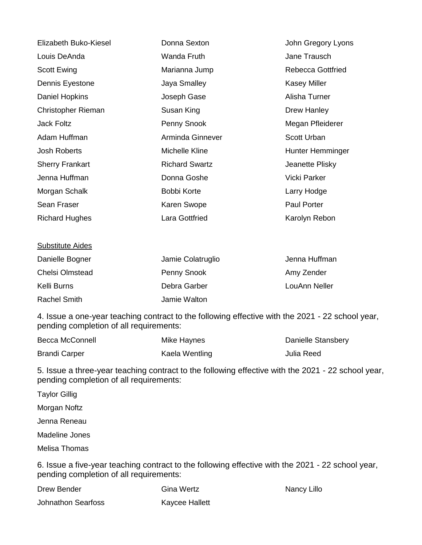| Elizabeth Buko-Kiesel  | Donna Sexton          | John Gregory Lyons       |
|------------------------|-----------------------|--------------------------|
| Louis DeAnda           | Wanda Fruth           | Jane Trausch             |
| Scott Ewing            | Marianna Jump         | <b>Rebecca Gottfried</b> |
| Dennis Eyestone        | Jaya Smalley          | <b>Kasey Miller</b>      |
| Daniel Hopkins         | Joseph Gase           | Alisha Turner            |
| Christopher Rieman     | Susan King            | Drew Hanley              |
| <b>Jack Foltz</b>      | Penny Snook           | Megan Pfleiderer         |
| Adam Huffman           | Arminda Ginnever      | <b>Scott Urban</b>       |
| Josh Roberts           | Michelle Kline        | Hunter Hemminger         |
| <b>Sherry Frankart</b> | <b>Richard Swartz</b> | Jeanette Plisky          |
| Jenna Huffman          | Donna Goshe           | Vicki Parker             |
| Morgan Schalk          | Bobbi Korte           | Larry Hodge              |
| Sean Fraser            | Karen Swope           | Paul Porter              |
| <b>Richard Hughes</b>  | Lara Gottfried        | Karolyn Rebon            |

#### Substitute Aides Danielle Bogner Chelsi Olmstead Kelli Burns Rachel Smith Jamie Colatruglio Penny Snook Debra Garber Jamie Walton Jenna Huffman Amy Zender LouAnn Neller

4. Issue a one-year teaching contract to the following effective with the 2021 - 22 school year, pending completion of all requirements:

| Becca McConnell      | Mike Haynes    | Danielle Stansbery |
|----------------------|----------------|--------------------|
| <b>Brandi Carper</b> | Kaela Wentling | Julia Reed         |

5. Issue a three-year teaching contract to the following effective with the 2021 - 22 school year, pending completion of all requirements:

Taylor Gillig Morgan Noftz Jenna Reneau Madeline Jones Melisa Thomas 6. Issue a five-year teaching contract to the following effective with the 2021 - 22 school year,

pending completion of all requirements:

Drew Bender Johnathon Searfoss Gina Wertz Kaycee Hallett Nancy Lillo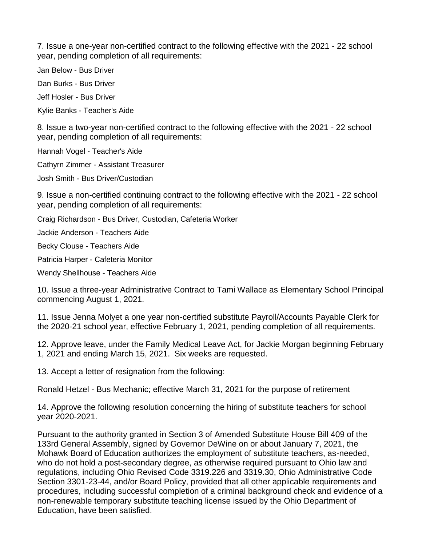7. Issue a one-year non-certified contract to the following effective with the 2021 - 22 school year, pending completion of all requirements:

Jan Below - Bus Driver

Dan Burks - Bus Driver

Jeff Hosler - Bus Driver

Kylie Banks - Teacher's Aide

8. Issue a two-year non-certified contract to the following effective with the 2021 - 22 school year, pending completion of all requirements:

Hannah Vogel - Teacher's Aide

Cathyrn Zimmer - Assistant Treasurer

Josh Smith - Bus Driver/Custodian

9. Issue a non-certified continuing contract to the following effective with the 2021 - 22 school year, pending completion of all requirements:

Craig Richardson - Bus Driver, Custodian, Cafeteria Worker

Jackie Anderson - Teachers Aide

Becky Clouse - Teachers Aide

Patricia Harper - Cafeteria Monitor

Wendy Shellhouse - Teachers Aide

10. Issue a three-year Administrative Contract to Tami Wallace as Elementary School Principal commencing August 1, 2021.

11. Issue Jenna Molyet a one year non-certified substitute Payroll/Accounts Payable Clerk for the 2020-21 school year, effective February 1, 2021, pending completion of all requirements.

12. Approve leave, under the Family Medical Leave Act, for Jackie Morgan beginning February 1, 2021 and ending March 15, 2021. Six weeks are requested.

13. Accept a letter of resignation from the following:

Ronald Hetzel - Bus Mechanic; effective March 31, 2021 for the purpose of retirement

14. Approve the following resolution concerning the hiring of substitute teachers for school year 2020-2021.

Pursuant to the authority granted in Section 3 of Amended Substitute House Bill 409 of the 133rd General Assembly, signed by Governor DeWine on or about January 7, 2021, the Mohawk Board of Education authorizes the employment of substitute teachers, as-needed, who do not hold a post-secondary degree, as otherwise required pursuant to Ohio law and regulations, including Ohio Revised Code 3319.226 and 3319.30, Ohio Administrative Code Section 3301-23-44, and/or Board Policy, provided that all other applicable requirements and procedures, including successful completion of a criminal background check and evidence of a non-renewable temporary substitute teaching license issued by the Ohio Department of Education, have been satisfied.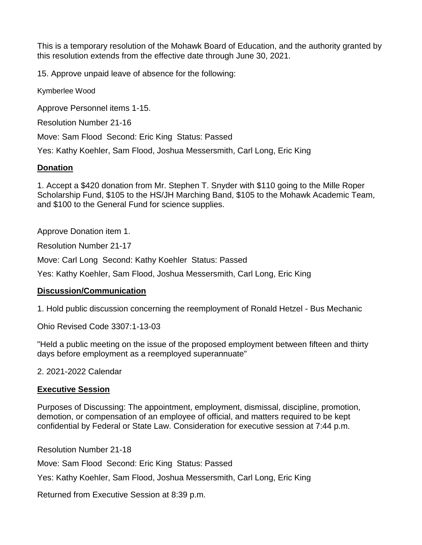This is a temporary resolution of the Mohawk Board of Education, and the authority granted by this resolution extends from the effective date through June 30, 2021.

15. Approve unpaid leave of absence for the following:

Kymberlee Wood

Approve Personnel items 1-15.

Resolution Number 21-16

Move: Sam Flood Second: Eric King Status: Passed

Yes: Kathy Koehler, Sam Flood, Joshua Messersmith, Carl Long, Eric King

#### **Donation**

1. Accept a \$420 donation from Mr. Stephen T. Snyder with \$110 going to the Mille Roper Scholarship Fund, \$105 to the HS/JH Marching Band, \$105 to the Mohawk Academic Team, and \$100 to the General Fund for science supplies.

Approve Donation item 1.

Resolution Number 21-17

Move: Carl Long Second: Kathy Koehler Status: Passed

Yes: Kathy Koehler, Sam Flood, Joshua Messersmith, Carl Long, Eric King

## **Discussion/Communication**

1. Hold public discussion concerning the reemployment of Ronald Hetzel - Bus Mechanic

Ohio Revised Code 3307:1-13-03

"Held a public meeting on the issue of the proposed employment between fifteen and thirty days before employment as a reemployed superannuate"

2. 2021-2022 Calendar

#### **Executive Session**

Purposes of Discussing: The appointment, employment, dismissal, discipline, promotion, demotion, or compensation of an employee of official, and matters required to be kept confidential by Federal or State Law. Consideration for executive session at 7:44 p.m.

Resolution Number 21-18

Move: Sam Flood Second: Eric King Status: Passed

Yes: Kathy Koehler, Sam Flood, Joshua Messersmith, Carl Long, Eric King

Returned from Executive Session at 8:39 p.m.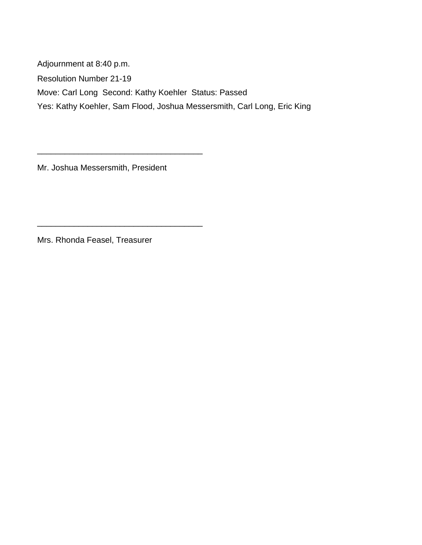Adjournment at 8:40 p.m. Resolution Number 21-19 Move: Carl Long Second: Kathy Koehler Status: Passed Yes: Kathy Koehler, Sam Flood, Joshua Messersmith, Carl Long, Eric King

Mr. Joshua Messersmith, President

\_\_\_\_\_\_\_\_\_\_\_\_\_\_\_\_\_\_\_\_\_\_\_\_\_\_\_\_\_\_\_\_\_\_\_\_

\_\_\_\_\_\_\_\_\_\_\_\_\_\_\_\_\_\_\_\_\_\_\_\_\_\_\_\_\_\_\_\_\_\_\_\_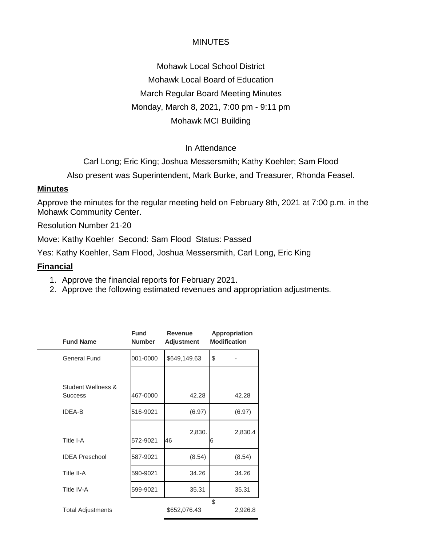Mohawk Local School District Mohawk Local Board of Education March Regular Board Meeting Minutes Monday, March 8, 2021, 7:00 pm - 9:11 pm Mohawk MCI Building

#### In Attendance

Carl Long; Eric King; Joshua Messersmith; Kathy Koehler; Sam Flood

Also present was Superintendent, Mark Burke, and Treasurer, Rhonda Feasel.

#### **Minutes**

Approve the minutes for the regular meeting held on February 8th, 2021 at 7:00 p.m. in the Mohawk Community Center.

Resolution Number 21-20

Move: Kathy Koehler Second: Sam Flood Status: Passed

Yes: Kathy Koehler, Sam Flood, Joshua Messersmith, Carl Long, Eric King

#### **Financial**

- 1. Approve the financial reports for February 2021.
- 2. Approve the following estimated revenues and appropriation adjustments.

| <b>Fund Name</b>                     | <b>Fund</b><br><b>Number</b> | Revenue<br><b>Adjustment</b> | Appropriation<br><b>Modification</b> |         |
|--------------------------------------|------------------------------|------------------------------|--------------------------------------|---------|
| <b>General Fund</b>                  | 001-0000                     | \$649,149.63                 | \$                                   |         |
|                                      |                              |                              |                                      |         |
| Student Wellness &<br><b>Success</b> | 467-0000                     | 42.28                        |                                      | 42.28   |
| <b>IDEA-B</b>                        | 516-9021                     | (6.97)                       |                                      | (6.97)  |
| Title I-A                            | 572-9021                     | 2,830.<br>46                 | 6                                    | 2,830.4 |
| <b>IDEA Preschool</b>                | 587-9021                     | (8.54)                       |                                      | (8.54)  |
| Title II-A                           | 590-9021                     | 34.26                        |                                      | 34.26   |
| Title IV-A                           | 599-9021                     | 35.31                        |                                      | 35.31   |
| <b>Total Adjustments</b>             |                              | \$652,076.43                 | \$                                   | 2,926.8 |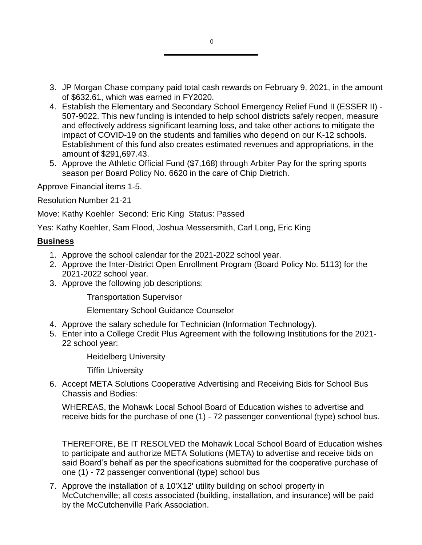- 3. JP Morgan Chase company paid total cash rewards on February 9, 2021, in the amount of \$632.61, which was earned in FY2020.
- 4. Establish the Elementary and Secondary School Emergency Relief Fund II (ESSER II) 507-9022. This new funding is intended to help school districts safely reopen, measure and effectively address significant learning loss, and take other actions to mitigate the impact of COVID-19 on the students and families who depend on our K-12 schools. Establishment of this fund also creates estimated revenues and appropriations, in the amount of \$291,697.43.
- 5. Approve the Athletic Official Fund (\$7,168) through Arbiter Pay for the spring sports season per Board Policy No. 6620 in the care of Chip Dietrich.

Approve Financial items 1-5.

Resolution Number 21-21

Move: Kathy Koehler Second: Eric King Status: Passed

Yes: Kathy Koehler, Sam Flood, Joshua Messersmith, Carl Long, Eric King

#### **Business**

- 1. Approve the school calendar for the 2021-2022 school year.
- 2. Approve the Inter-District Open Enrollment Program (Board Policy No. 5113) for the 2021-2022 school year.
- 3. Approve the following job descriptions:

Transportation Supervisor

Elementary School Guidance Counselor

- 4. Approve the salary schedule for Technician (Information Technology).
- 5. Enter into a College Credit Plus Agreement with the following Institutions for the 2021- 22 school year:

Heidelberg University

Tiffin University

6. Accept META Solutions Cooperative Advertising and Receiving Bids for School Bus Chassis and Bodies:

WHEREAS, the Mohawk Local School Board of Education wishes to advertise and receive bids for the purchase of one (1) - 72 passenger conventional (type) school bus.

THEREFORE, BE IT RESOLVED the Mohawk Local School Board of Education wishes to participate and authorize META Solutions (META) to advertise and receive bids on said Board's behalf as per the specifications submitted for the cooperative purchase of one (1) - 72 passenger conventional (type) school bus

7. Approve the installation of a 10'X12' utility building on school property in McCutchenville; all costs associated (building, installation, and insurance) will be paid by the McCutchenville Park Association.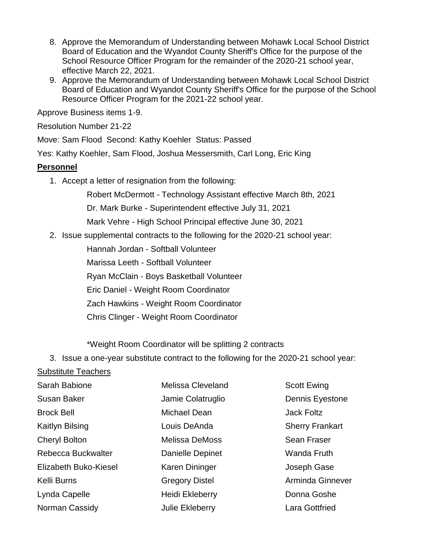- 8. Approve the Memorandum of Understanding between Mohawk Local School District Board of Education and the Wyandot County Sheriff's Office for the purpose of the School Resource Officer Program for the remainder of the 2020-21 school year, effective March 22, 2021.
- 9. Approve the Memorandum of Understanding between Mohawk Local School District Board of Education and Wyandot County Sheriff's Office for the purpose of the School Resource Officer Program for the 2021-22 school year.

Approve Business items 1-9.

Resolution Number 21-22

Move: Sam Flood Second: Kathy Koehler Status: Passed

Yes: Kathy Koehler, Sam Flood, Joshua Messersmith, Carl Long, Eric King

#### **Personnel**

1. Accept a letter of resignation from the following:

Robert McDermott - Technology Assistant effective March 8th, 2021

Dr. Mark Burke - Superintendent effective July 31, 2021

Mark Vehre - High School Principal effective June 30, 2021

2. Issue supplemental contracts to the following for the 2020-21 school year:

Hannah Jordan - Softball Volunteer

Marissa Leeth - Softball Volunteer

Ryan McClain - Boys Basketball Volunteer

Eric Daniel - Weight Room Coordinator

Zach Hawkins - Weight Room Coordinator

Chris Clinger - Weight Room Coordinator

\*Weight Room Coordinator will be splitting 2 contracts

3. Issue a one-year substitute contract to the following for the 2020-21 school year:

## Substitute Teachers

| Sarah Babione         | Melissa Cleveland       | <b>Scott Ewing</b>     |
|-----------------------|-------------------------|------------------------|
| <b>Susan Baker</b>    | Jamie Colatruglio       | Dennis Eyestone        |
| <b>Brock Bell</b>     | Michael Dean            | Jack Foltz             |
| Kaitlyn Bilsing       | Louis DeAnda            | <b>Sherry Frankart</b> |
| <b>Cheryl Bolton</b>  | <b>Melissa DeMoss</b>   | <b>Sean Fraser</b>     |
| Rebecca Buckwalter    | <b>Danielle Depinet</b> | Wanda Fruth            |
| Elizabeth Buko-Kiesel | Karen Dininger          | Joseph Gase            |
| Kelli Burns           | <b>Gregory Distel</b>   | Arminda Ginnever       |
| Lynda Capelle         | Heidi Ekleberry         | Donna Goshe            |
| Norman Cassidy        | <b>Julie Ekleberry</b>  | <b>Lara Gottfried</b>  |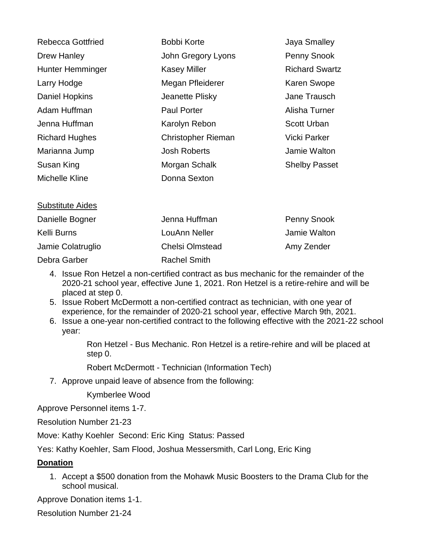| <b>Rebecca Gottfried</b> | <b>Bobbi Korte</b>        | Jaya Smalley          |
|--------------------------|---------------------------|-----------------------|
| Drew Hanley              | John Gregory Lyons        | <b>Penny Snook</b>    |
| <b>Hunter Hemminger</b>  | <b>Kasey Miller</b>       | <b>Richard Swartz</b> |
| Larry Hodge              | Megan Pfleiderer          | <b>Karen Swope</b>    |
| Daniel Hopkins           | Jeanette Plisky           | Jane Trausch          |
| Adam Huffman             | <b>Paul Porter</b>        | Alisha Turner         |
| Jenna Huffman            | Karolyn Rebon             | <b>Scott Urban</b>    |
| <b>Richard Hughes</b>    | <b>Christopher Rieman</b> | Vicki Parker          |
| Marianna Jump            | <b>Josh Roberts</b>       | Jamie Walton          |
| Susan King               | Morgan Schalk             | <b>Shelby Passet</b>  |
| Michelle Kline           | Donna Sexton              |                       |
|                          |                           |                       |
| <b>Substitute Aides</b>  |                           |                       |

| Danielle Bogner   | Jenna Huffman          | <b>Penny Snook</b> |
|-------------------|------------------------|--------------------|
| Kelli Burns       | LouAnn Neller          | Jamie Walton       |
| Jamie Colatruglio | <b>Chelsi Olmstead</b> | Amy Zender         |
| Debra Garber      | <b>Rachel Smith</b>    |                    |

- 4. Issue Ron Hetzel a non-certified contract as bus mechanic for the remainder of the 2020-21 school year, effective June 1, 2021. Ron Hetzel is a retire-rehire and will be placed at step 0.
- 5. Issue Robert McDermott a non-certified contract as technician, with one year of experience, for the remainder of 2020-21 school year, effective March 9th, 2021.
- 6. Issue a one-year non-certified contract to the following effective with the 2021-22 school year:

Ron Hetzel - Bus Mechanic. Ron Hetzel is a retire-rehire and will be placed at step 0.

Robert McDermott - Technician (Information Tech)

7. Approve unpaid leave of absence from the following:

Kymberlee Wood

Approve Personnel items 1-7.

Resolution Number 21-23

Move: Kathy Koehler Second: Eric King Status: Passed

Yes: Kathy Koehler, Sam Flood, Joshua Messersmith, Carl Long, Eric King

## **Donation**

1. Accept a \$500 donation from the Mohawk Music Boosters to the Drama Club for the school musical.

Approve Donation items 1-1.

Resolution Number 21-24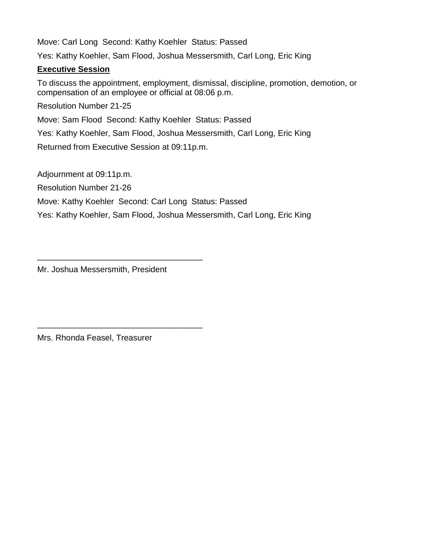Move: Carl Long Second: Kathy Koehler Status: Passed Yes: Kathy Koehler, Sam Flood, Joshua Messersmith, Carl Long, Eric King **Executive Session** To discuss the appointment, employment, dismissal, discipline, promotion, demotion, or compensation of an employee or official at 08:06 p.m. Resolution Number 21-25 Move: Sam Flood Second: Kathy Koehler Status: Passed Yes: Kathy Koehler, Sam Flood, Joshua Messersmith, Carl Long, Eric King

Returned from Executive Session at 09:11p.m.

Adjournment at 09:11p.m.

Resolution Number 21-26

Move: Kathy Koehler Second: Carl Long Status: Passed

Yes: Kathy Koehler, Sam Flood, Joshua Messersmith, Carl Long, Eric King

Mr. Joshua Messersmith, President

\_\_\_\_\_\_\_\_\_\_\_\_\_\_\_\_\_\_\_\_\_\_\_\_\_\_\_\_\_\_\_\_\_\_\_\_

\_\_\_\_\_\_\_\_\_\_\_\_\_\_\_\_\_\_\_\_\_\_\_\_\_\_\_\_\_\_\_\_\_\_\_\_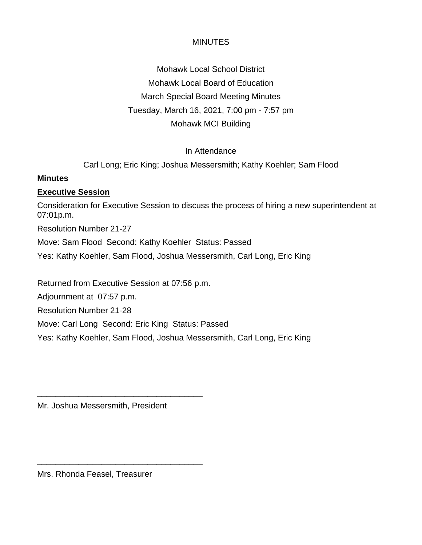Mohawk Local School District Mohawk Local Board of Education March Special Board Meeting Minutes Tuesday, March 16, 2021, 7:00 pm - 7:57 pm Mohawk MCI Building

## In Attendance

Carl Long; Eric King; Joshua Messersmith; Kathy Koehler; Sam Flood

#### **Minutes**

#### **Executive Session**

Consideration for Executive Session to discuss the process of hiring a new superintendent at 07:01p.m.

Resolution Number 21-27

Move: Sam Flood Second: Kathy Koehler Status: Passed

Yes: Kathy Koehler, Sam Flood, Joshua Messersmith, Carl Long, Eric King

Returned from Executive Session at 07:56 p.m.

Adjournment at 07:57 p.m.

Resolution Number 21-28

Move: Carl Long Second: Eric King Status: Passed

Yes: Kathy Koehler, Sam Flood, Joshua Messersmith, Carl Long, Eric King

Mr. Joshua Messersmith, President

\_\_\_\_\_\_\_\_\_\_\_\_\_\_\_\_\_\_\_\_\_\_\_\_\_\_\_\_\_\_\_\_\_\_\_\_

\_\_\_\_\_\_\_\_\_\_\_\_\_\_\_\_\_\_\_\_\_\_\_\_\_\_\_\_\_\_\_\_\_\_\_\_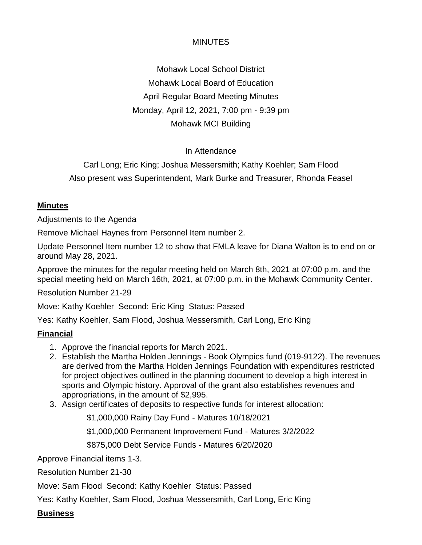Mohawk Local School District Mohawk Local Board of Education April Regular Board Meeting Minutes Monday, April 12, 2021, 7:00 pm - 9:39 pm Mohawk MCI Building

## In Attendance

Carl Long; Eric King; Joshua Messersmith; Kathy Koehler; Sam Flood Also present was Superintendent, Mark Burke and Treasurer, Rhonda Feasel

## **Minutes**

Adjustments to the Agenda

Remove Michael Haynes from Personnel Item number 2.

Update Personnel Item number 12 to show that FMLA leave for Diana Walton is to end on or around May 28, 2021.

Approve the minutes for the regular meeting held on March 8th, 2021 at 07:00 p.m. and the special meeting held on March 16th, 2021, at 07:00 p.m. in the Mohawk Community Center.

Resolution Number 21-29

Move: Kathy Koehler Second: Eric King Status: Passed

Yes: Kathy Koehler, Sam Flood, Joshua Messersmith, Carl Long, Eric King

## **Financial**

- 1. Approve the financial reports for March 2021.
- 2. Establish the Martha Holden Jennings Book Olympics fund (019-9122). The revenues are derived from the Martha Holden Jennings Foundation with expenditures restricted for project objectives outlined in the planning document to develop a high interest in sports and Olympic history. Approval of the grant also establishes revenues and appropriations, in the amount of \$2,995.
- 3. Assign certificates of deposits to respective funds for interest allocation:

\$1,000,000 Rainy Day Fund - Matures 10/18/2021

\$1,000,000 Permanent Improvement Fund - Matures 3/2/2022

\$875,000 Debt Service Funds - Matures 6/20/2020

Approve Financial items 1-3.

Resolution Number 21-30

Move: Sam Flood Second: Kathy Koehler Status: Passed

Yes: Kathy Koehler, Sam Flood, Joshua Messersmith, Carl Long, Eric King

**Business**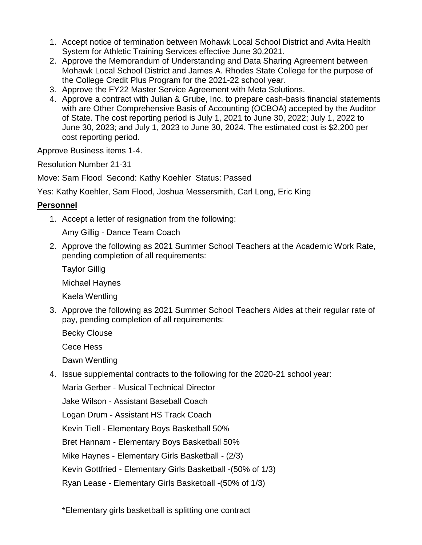- 1. Accept notice of termination between Mohawk Local School District and Avita Health System for Athletic Training Services effective June 30,2021.
- 2. Approve the Memorandum of Understanding and Data Sharing Agreement between Mohawk Local School District and James A. Rhodes State College for the purpose of the College Credit Plus Program for the 2021-22 school year.
- 3. Approve the FY22 Master Service Agreement with Meta Solutions.
- 4. Approve a contract with Julian & Grube, Inc. to prepare cash-basis financial statements with are Other Comprehensive Basis of Accounting (OCBOA) accepted by the Auditor of State. The cost reporting period is July 1, 2021 to June 30, 2022; July 1, 2022 to June 30, 2023; and July 1, 2023 to June 30, 2024. The estimated cost is \$2,200 per cost reporting period.

Approve Business items 1-4.

Resolution Number 21-31

Move: Sam Flood Second: Kathy Koehler Status: Passed

Yes: Kathy Koehler, Sam Flood, Joshua Messersmith, Carl Long, Eric King

## **Personnel**

1. Accept a letter of resignation from the following:

Amy Gillig - Dance Team Coach

- 2. Approve the following as 2021 Summer School Teachers at the Academic Work Rate, pending completion of all requirements:
	- Taylor Gillig

Michael Haynes

Kaela Wentling

3. Approve the following as 2021 Summer School Teachers Aides at their regular rate of pay, pending completion of all requirements:

Becky Clouse

Cece Hess

Dawn Wentling

4. Issue supplemental contracts to the following for the 2020-21 school year:

Maria Gerber - Musical Technical Director

Jake Wilson - Assistant Baseball Coach

Logan Drum - Assistant HS Track Coach

Kevin Tiell - Elementary Boys Basketball 50%

Bret Hannam - Elementary Boys Basketball 50%

Mike Haynes - Elementary Girls Basketball - (2/3)

Kevin Gottfried - Elementary Girls Basketball -(50% of 1/3)

Ryan Lease - Elementary Girls Basketball -(50% of 1/3)

\*Elementary girls basketball is splitting one contract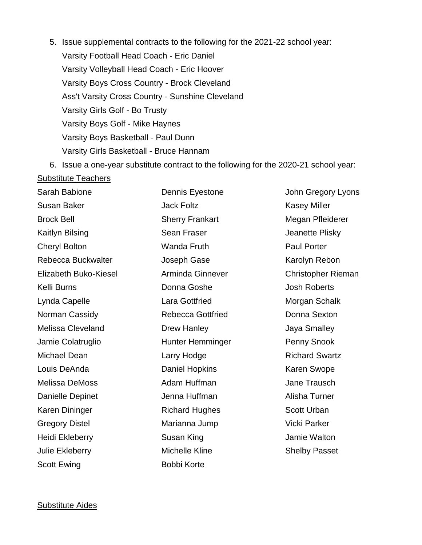- 5. Issue supplemental contracts to the following for the 2021-22 school year: Varsity Football Head Coach - Eric Daniel Varsity Volleyball Head Coach - Eric Hoover Varsity Boys Cross Country - Brock Cleveland Ass't Varsity Cross Country - Sunshine Cleveland Varsity Girls Golf - Bo Trusty Varsity Boys Golf - Mike Haynes Varsity Boys Basketball - Paul Dunn Varsity Girls Basketball - Bruce Hannam
- 6. Issue a one-year substitute contract to the following for the 2020-21 school year: Substitute Teachers

| Sarah Babione            | Dennis Eyestone          | John Gregory Lyons    |
|--------------------------|--------------------------|-----------------------|
| <b>Susan Baker</b>       | <b>Jack Foltz</b>        | <b>Kasey Miller</b>   |
| <b>Brock Bell</b>        | <b>Sherry Frankart</b>   | Megan Pfleiderer      |
| Kaitlyn Bilsing          | <b>Sean Fraser</b>       | Jeanette Plisky       |
| <b>Cheryl Bolton</b>     | <b>Wanda Fruth</b>       | <b>Paul Porter</b>    |
| Rebecca Buckwalter       | Joseph Gase              | Karolyn Rebon         |
| Elizabeth Buko-Kiesel    | Arminda Ginnever         | Christopher Rieman    |
| Kelli Burns              | Donna Goshe              | <b>Josh Roberts</b>   |
| Lynda Capelle            | Lara Gottfried           | Morgan Schalk         |
| Norman Cassidy           | <b>Rebecca Gottfried</b> | Donna Sexton          |
| <b>Melissa Cleveland</b> | Drew Hanley              | Jaya Smalley          |
| Jamie Colatruglio        | Hunter Hemminger         | Penny Snook           |
| Michael Dean             | Larry Hodge              | <b>Richard Swartz</b> |
| Louis DeAnda             | <b>Daniel Hopkins</b>    | Karen Swope           |
| <b>Melissa DeMoss</b>    | Adam Huffman             | Jane Trausch          |
| <b>Danielle Depinet</b>  | Jenna Huffman            | Alisha Turner         |
| Karen Dininger           | <b>Richard Hughes</b>    | <b>Scott Urban</b>    |
| <b>Gregory Distel</b>    | Marianna Jump            | Vicki Parker          |
| Heidi Ekleberry          | Susan King               | Jamie Walton          |
| Julie Ekleberry          | Michelle Kline           | <b>Shelby Passet</b>  |
| <b>Scott Ewing</b>       | <b>Bobbi Korte</b>       |                       |

#### Substitute Aides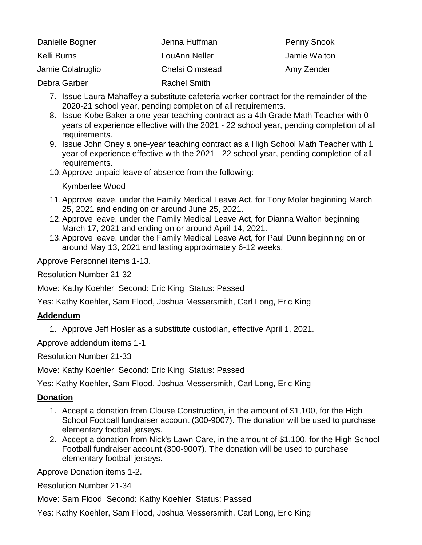| Danielle Bogner   | Jenna Huffman          | <b>Penny Snook</b> |
|-------------------|------------------------|--------------------|
| Kelli Burns       | LouAnn Neller          | Jamie Walton       |
| Jamie Colatruglio | <b>Chelsi Olmstead</b> | Amy Zender         |
| Debra Garber      | <b>Rachel Smith</b>    |                    |

- 7. Issue Laura Mahaffey a substitute cafeteria worker contract for the remainder of the 2020-21 school year, pending completion of all requirements.
- 8. Issue Kobe Baker a one-year teaching contract as a 4th Grade Math Teacher with 0 years of experience effective with the 2021 - 22 school year, pending completion of all requirements.
- 9. Issue John Oney a one-year teaching contract as a High School Math Teacher with 1 year of experience effective with the 2021 - 22 school year, pending completion of all requirements.
- 10.Approve unpaid leave of absence from the following:

Kymberlee Wood

- 11.Approve leave, under the Family Medical Leave Act, for Tony Moler beginning March 25, 2021 and ending on or around June 25, 2021.
- 12.Approve leave, under the Family Medical Leave Act, for Dianna Walton beginning March 17, 2021 and ending on or around April 14, 2021.
- 13.Approve leave, under the Family Medical Leave Act, for Paul Dunn beginning on or around May 13, 2021 and lasting approximately 6-12 weeks.

Approve Personnel items 1-13.

Resolution Number 21-32

Move: Kathy Koehler Second: Eric King Status: Passed

Yes: Kathy Koehler, Sam Flood, Joshua Messersmith, Carl Long, Eric King

## **Addendum**

1. Approve Jeff Hosler as a substitute custodian, effective April 1, 2021.

Approve addendum items 1-1

Resolution Number 21-33

Move: Kathy Koehler Second: Eric King Status: Passed

Yes: Kathy Koehler, Sam Flood, Joshua Messersmith, Carl Long, Eric King

## **Donation**

- 1. Accept a donation from Clouse Construction, in the amount of \$1,100, for the High School Football fundraiser account (300-9007). The donation will be used to purchase elementary football jerseys.
- 2. Accept a donation from Nick's Lawn Care, in the amount of \$1,100, for the High School Football fundraiser account (300-9007). The donation will be used to purchase elementary football jerseys.

Approve Donation items 1-2.

Resolution Number 21-34

Move: Sam Flood Second: Kathy Koehler Status: Passed

Yes: Kathy Koehler, Sam Flood, Joshua Messersmith, Carl Long, Eric King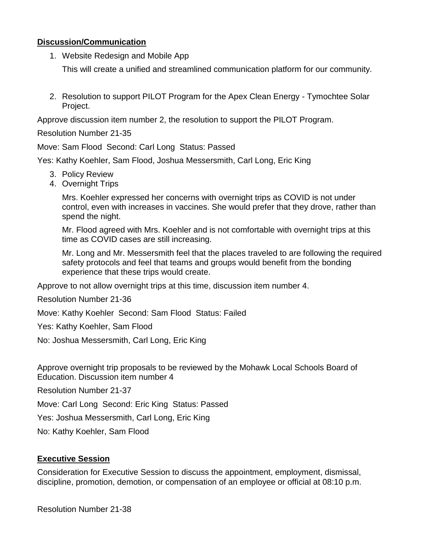#### **Discussion/Communication**

1. Website Redesign and Mobile App

This will create a unified and streamlined communication platform for our community.

2. Resolution to support PILOT Program for the Apex Clean Energy - Tymochtee Solar Project.

Approve discussion item number 2, the resolution to support the PILOT Program.

Resolution Number 21-35

Move: Sam Flood Second: Carl Long Status: Passed

Yes: Kathy Koehler, Sam Flood, Joshua Messersmith, Carl Long, Eric King

- 3. Policy Review
- 4. Overnight Trips

Mrs. Koehler expressed her concerns with overnight trips as COVID is not under control, even with increases in vaccines. She would prefer that they drove, rather than spend the night.

Mr. Flood agreed with Mrs. Koehler and is not comfortable with overnight trips at this time as COVID cases are still increasing.

Mr. Long and Mr. Messersmith feel that the places traveled to are following the required safety protocols and feel that teams and groups would benefit from the bonding experience that these trips would create.

Approve to not allow overnight trips at this time, discussion item number 4.

Resolution Number 21-36

Move: Kathy Koehler Second: Sam Flood Status: Failed

Yes: Kathy Koehler, Sam Flood

No: Joshua Messersmith, Carl Long, Eric King

Approve overnight trip proposals to be reviewed by the Mohawk Local Schools Board of Education. Discussion item number 4

Resolution Number 21-37

Move: Carl Long Second: Eric King Status: Passed

Yes: Joshua Messersmith, Carl Long, Eric King

No: Kathy Koehler, Sam Flood

## **Executive Session**

Consideration for Executive Session to discuss the appointment, employment, dismissal, discipline, promotion, demotion, or compensation of an employee or official at 08:10 p.m.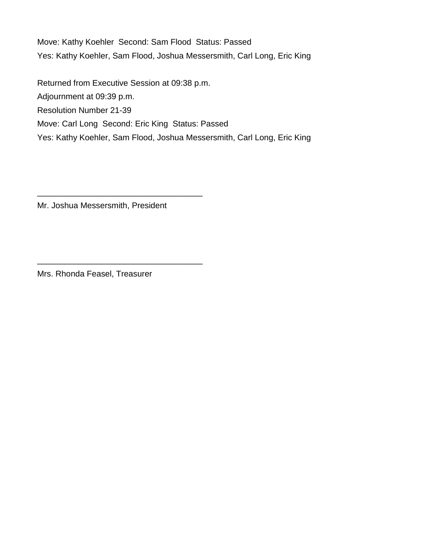Move: Kathy Koehler Second: Sam Flood Status: Passed Yes: Kathy Koehler, Sam Flood, Joshua Messersmith, Carl Long, Eric King

Returned from Executive Session at 09:38 p.m. Adjournment at 09:39 p.m. Resolution Number 21-39 Move: Carl Long Second: Eric King Status: Passed Yes: Kathy Koehler, Sam Flood, Joshua Messersmith, Carl Long, Eric King

Mr. Joshua Messersmith, President

\_\_\_\_\_\_\_\_\_\_\_\_\_\_\_\_\_\_\_\_\_\_\_\_\_\_\_\_\_\_\_\_\_\_\_\_

\_\_\_\_\_\_\_\_\_\_\_\_\_\_\_\_\_\_\_\_\_\_\_\_\_\_\_\_\_\_\_\_\_\_\_\_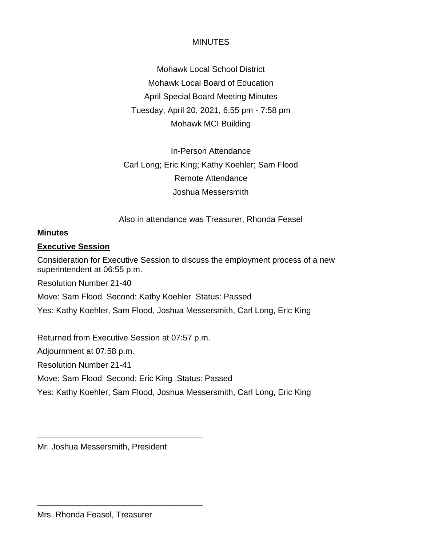Mohawk Local School District Mohawk Local Board of Education April Special Board Meeting Minutes Tuesday, April 20, 2021, 6:55 pm - 7:58 pm Mohawk MCI Building

In-Person Attendance Carl Long; Eric King; Kathy Koehler; Sam Flood Remote Attendance Joshua Messersmith

Also in attendance was Treasurer, Rhonda Feasel

#### **Minutes**

## **Executive Session**

Consideration for Executive Session to discuss the employment process of a new superintendent at 06:55 p.m.

Resolution Number 21-40

Move: Sam Flood Second: Kathy Koehler Status: Passed

Yes: Kathy Koehler, Sam Flood, Joshua Messersmith, Carl Long, Eric King

Returned from Executive Session at 07:57 p.m.

Adjournment at 07:58 p.m.

Resolution Number 21-41

Move: Sam Flood Second: Eric King Status: Passed

Yes: Kathy Koehler, Sam Flood, Joshua Messersmith, Carl Long, Eric King

Mr. Joshua Messersmith, President

\_\_\_\_\_\_\_\_\_\_\_\_\_\_\_\_\_\_\_\_\_\_\_\_\_\_\_\_\_\_\_\_\_\_\_\_

\_\_\_\_\_\_\_\_\_\_\_\_\_\_\_\_\_\_\_\_\_\_\_\_\_\_\_\_\_\_\_\_\_\_\_\_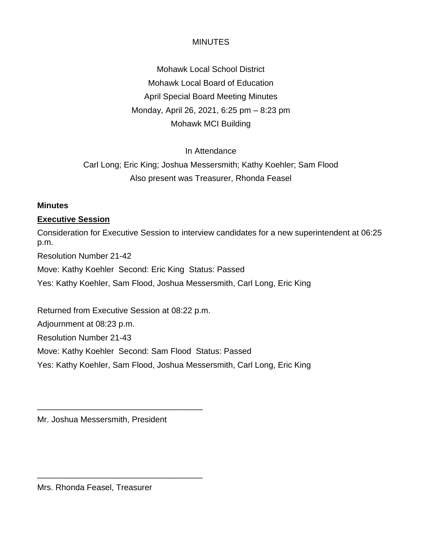Mohawk Local School District Mohawk Local Board of Education April Special Board Meeting Minutes Monday, April 26, 2021, 6:25 pm – 8:23 pm Mohawk MCI Building

## In Attendance

Carl Long; Eric King; Joshua Messersmith; Kathy Koehler; Sam Flood Also present was Treasurer, Rhonda Feasel

#### **Minutes**

#### **Executive Session**

Consideration for Executive Session to interview candidates for a new superintendent at 06:25 p.m.

Resolution Number 21-42

Move: Kathy Koehler Second: Eric King Status: Passed

Yes: Kathy Koehler, Sam Flood, Joshua Messersmith, Carl Long, Eric King

Returned from Executive Session at 08:22 p.m.

Adjournment at 08:23 p.m.

Resolution Number 21-43

Move: Kathy Koehler Second: Sam Flood Status: Passed

Yes: Kathy Koehler, Sam Flood, Joshua Messersmith, Carl Long, Eric King

Mr. Joshua Messersmith, President

\_\_\_\_\_\_\_\_\_\_\_\_\_\_\_\_\_\_\_\_\_\_\_\_\_\_\_\_\_\_\_\_\_\_\_\_

\_\_\_\_\_\_\_\_\_\_\_\_\_\_\_\_\_\_\_\_\_\_\_\_\_\_\_\_\_\_\_\_\_\_\_\_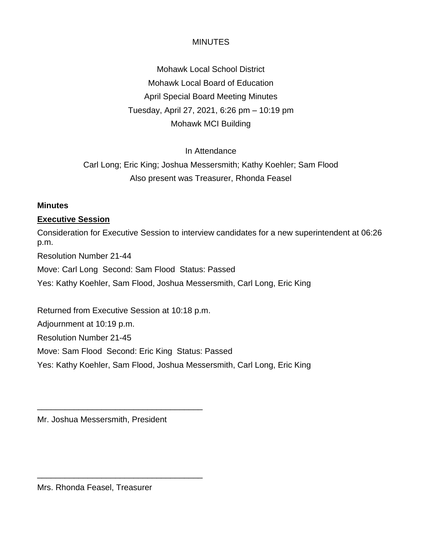Mohawk Local School District Mohawk Local Board of Education April Special Board Meeting Minutes Tuesday, April 27, 2021, 6:26 pm – 10:19 pm Mohawk MCI Building

## In Attendance

Carl Long; Eric King; Joshua Messersmith; Kathy Koehler; Sam Flood Also present was Treasurer, Rhonda Feasel

#### **Minutes**

#### **Executive Session**

Consideration for Executive Session to interview candidates for a new superintendent at 06:26 p.m.

Resolution Number 21-44

Move: Carl Long Second: Sam Flood Status: Passed

Yes: Kathy Koehler, Sam Flood, Joshua Messersmith, Carl Long, Eric King

Returned from Executive Session at 10:18 p.m.

Adjournment at 10:19 p.m.

Resolution Number 21-45

Move: Sam Flood Second: Eric King Status: Passed

Yes: Kathy Koehler, Sam Flood, Joshua Messersmith, Carl Long, Eric King

Mr. Joshua Messersmith, President

\_\_\_\_\_\_\_\_\_\_\_\_\_\_\_\_\_\_\_\_\_\_\_\_\_\_\_\_\_\_\_\_\_\_\_\_

\_\_\_\_\_\_\_\_\_\_\_\_\_\_\_\_\_\_\_\_\_\_\_\_\_\_\_\_\_\_\_\_\_\_\_\_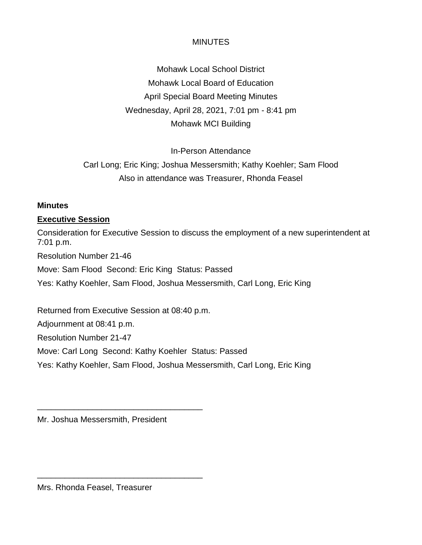Mohawk Local School District Mohawk Local Board of Education April Special Board Meeting Minutes Wednesday, April 28, 2021, 7:01 pm - 8:41 pm Mohawk MCI Building

In-Person Attendance

Carl Long; Eric King; Joshua Messersmith; Kathy Koehler; Sam Flood Also in attendance was Treasurer, Rhonda Feasel

#### **Minutes**

#### **Executive Session**

Consideration for Executive Session to discuss the employment of a new superintendent at 7:01 p.m.

Resolution Number 21-46

Move: Sam Flood Second: Eric King Status: Passed

Yes: Kathy Koehler, Sam Flood, Joshua Messersmith, Carl Long, Eric King

Returned from Executive Session at 08:40 p.m.

Adjournment at 08:41 p.m.

Resolution Number 21-47

Move: Carl Long Second: Kathy Koehler Status: Passed

Yes: Kathy Koehler, Sam Flood, Joshua Messersmith, Carl Long, Eric King

Mr. Joshua Messersmith, President

\_\_\_\_\_\_\_\_\_\_\_\_\_\_\_\_\_\_\_\_\_\_\_\_\_\_\_\_\_\_\_\_\_\_\_\_

\_\_\_\_\_\_\_\_\_\_\_\_\_\_\_\_\_\_\_\_\_\_\_\_\_\_\_\_\_\_\_\_\_\_\_\_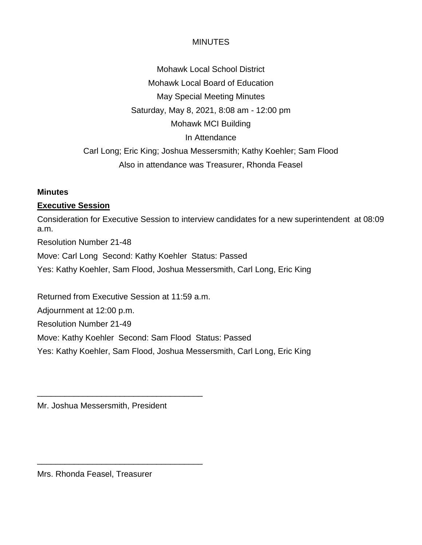Mohawk Local School District Mohawk Local Board of Education May Special Meeting Minutes Saturday, May 8, 2021, 8:08 am - 12:00 pm Mohawk MCI Building In Attendance Carl Long; Eric King; Joshua Messersmith; Kathy Koehler; Sam Flood Also in attendance was Treasurer, Rhonda Feasel

#### **Minutes**

## **Executive Session**

Consideration for Executive Session to interview candidates for a new superintendent at 08:09 a.m. Resolution Number 21-48 Move: Carl Long Second: Kathy Koehler Status: Passed Yes: Kathy Koehler, Sam Flood, Joshua Messersmith, Carl Long, Eric King Returned from Executive Session at 11:59 a.m.

Adjournment at 12:00 p.m.

Resolution Number 21-49

Move: Kathy Koehler Second: Sam Flood Status: Passed

Yes: Kathy Koehler, Sam Flood, Joshua Messersmith, Carl Long, Eric King

Mr. Joshua Messersmith, President

\_\_\_\_\_\_\_\_\_\_\_\_\_\_\_\_\_\_\_\_\_\_\_\_\_\_\_\_\_\_\_\_\_\_\_\_

\_\_\_\_\_\_\_\_\_\_\_\_\_\_\_\_\_\_\_\_\_\_\_\_\_\_\_\_\_\_\_\_\_\_\_\_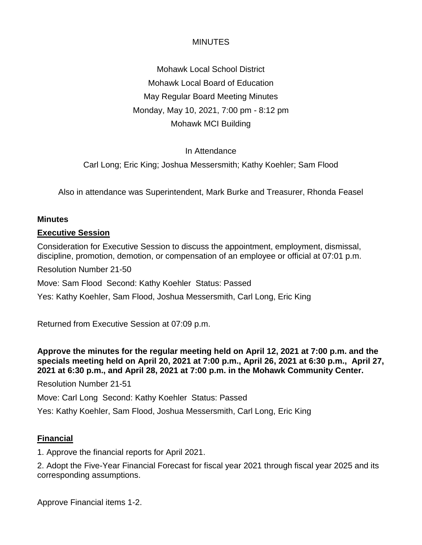Mohawk Local School District Mohawk Local Board of Education May Regular Board Meeting Minutes Monday, May 10, 2021, 7:00 pm - 8:12 pm Mohawk MCI Building

## In Attendance

Carl Long; Eric King; Joshua Messersmith; Kathy Koehler; Sam Flood

Also in attendance was Superintendent, Mark Burke and Treasurer, Rhonda Feasel

#### **Minutes**

#### **Executive Session**

Consideration for Executive Session to discuss the appointment, employment, dismissal, discipline, promotion, demotion, or compensation of an employee or official at 07:01 p.m.

Resolution Number 21-50

Move: Sam Flood Second: Kathy Koehler Status: Passed

Yes: Kathy Koehler, Sam Flood, Joshua Messersmith, Carl Long, Eric King

Returned from Executive Session at 07:09 p.m.

**Approve the minutes for the regular meeting held on April 12, 2021 at 7:00 p.m. and the specials meeting held on April 20, 2021 at 7:00 p.m., April 26, 2021 at 6:30 p.m., April 27, 2021 at 6:30 p.m., and April 28, 2021 at 7:00 p.m. in the Mohawk Community Center.** 

Resolution Number 21-51

Move: Carl Long Second: Kathy Koehler Status: Passed

Yes: Kathy Koehler, Sam Flood, Joshua Messersmith, Carl Long, Eric King

## **Financial**

1. Approve the financial reports for April 2021.

2. Adopt the Five-Year Financial Forecast for fiscal year 2021 through fiscal year 2025 and its corresponding assumptions.

Approve Financial items 1-2.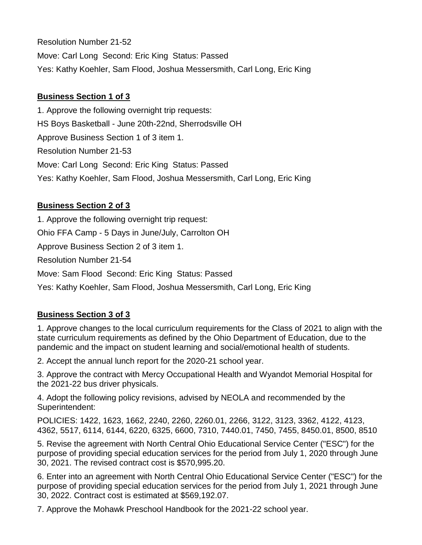Resolution Number 21-52 Move: Carl Long Second: Eric King Status: Passed Yes: Kathy Koehler, Sam Flood, Joshua Messersmith, Carl Long, Eric King

## **Business Section 1 of 3**

1. Approve the following overnight trip requests: HS Boys Basketball - June 20th-22nd, Sherrodsville OH Approve Business Section 1 of 3 item 1. Resolution Number 21-53 Move: Carl Long Second: Eric King Status: Passed Yes: Kathy Koehler, Sam Flood, Joshua Messersmith, Carl Long, Eric King

## **Business Section 2 of 3**

1. Approve the following overnight trip request: Ohio FFA Camp - 5 Days in June/July, Carrolton OH Approve Business Section 2 of 3 item 1. Resolution Number 21-54 Move: Sam Flood Second: Eric King Status: Passed Yes: Kathy Koehler, Sam Flood, Joshua Messersmith, Carl Long, Eric King

## **Business Section 3 of 3**

1. Approve changes to the local curriculum requirements for the Class of 2021 to align with the state curriculum requirements as defined by the Ohio Department of Education, due to the pandemic and the impact on student learning and social/emotional health of students.

2. Accept the annual lunch report for the 2020-21 school year.

3. Approve the contract with Mercy Occupational Health and Wyandot Memorial Hospital for the 2021-22 bus driver physicals.

4. Adopt the following policy revisions, advised by NEOLA and recommended by the Superintendent:

POLICIES: 1422, 1623, 1662, 2240, 2260, 2260.01, 2266, 3122, 3123, 3362, 4122, 4123, 4362, 5517, 6114, 6144, 6220, 6325, 6600, 7310, 7440.01, 7450, 7455, 8450.01, 8500, 8510

5. Revise the agreement with North Central Ohio Educational Service Center ("ESC") for the purpose of providing special education services for the period from July 1, 2020 through June 30, 2021. The revised contract cost is \$570,995.20.

6. Enter into an agreement with North Central Ohio Educational Service Center ("ESC") for the purpose of providing special education services for the period from July 1, 2021 through June 30, 2022. Contract cost is estimated at \$569,192.07.

7. Approve the Mohawk Preschool Handbook for the 2021-22 school year.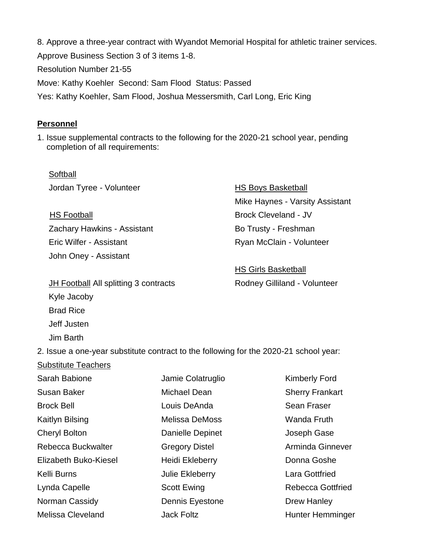8. Approve a three-year contract with Wyandot Memorial Hospital for athletic trainer services. Approve Business Section 3 of 3 items 1-8. Resolution Number 21-55 Move: Kathy Koehler Second: Sam Flood Status: Passed Yes: Kathy Koehler, Sam Flood, Joshua Messersmith, Carl Long, Eric King

#### **Personnel**

1. Issue supplemental contracts to the following for the 2020-21 school year, pending completion of all requirements:

Softball Jordan Tyree - Volunteer

HS Football Zachary Hawkins - Assistant Eric Wilfer - Assistant John Oney - Assistant

**HS Boys Basketball**  Mike Haynes - Varsity Assistant Brock Cleveland - JV Bo Trusty - Freshman Ryan McClain - Volunteer

 HS Girls Basketball Rodney Gilliland - Volunteer

JH Football All splitting 3 contracts Kyle Jacoby Brad Rice Jeff Justen Jim Barth

Substitute Teachers

2. Issue a one-year substitute contract to the following for the 2020-21 school year:

| Sarah Babione         | Jamie Colatruglio     | <b>Kimberly Ford</b>     |
|-----------------------|-----------------------|--------------------------|
| <b>Susan Baker</b>    | Michael Dean          | <b>Sherry Frankart</b>   |
| <b>Brock Bell</b>     | Louis DeAnda          | <b>Sean Fraser</b>       |
| Kaitlyn Bilsing       | <b>Melissa DeMoss</b> | <b>Wanda Fruth</b>       |
| <b>Cheryl Bolton</b>  | Danielle Depinet      | Joseph Gase              |
| Rebecca Buckwalter    | <b>Gregory Distel</b> | Arminda Ginnever         |
| Elizabeth Buko-Kiesel | Heidi Ekleberry       | Donna Goshe              |
| Kelli Burns           | Julie Ekleberry       | <b>Lara Gottfried</b>    |
| Lynda Capelle         | <b>Scott Ewing</b>    | <b>Rebecca Gottfried</b> |
| Norman Cassidy        | Dennis Eyestone       | <b>Drew Hanley</b>       |
| Melissa Cleveland     | <b>Jack Foltz</b>     | <b>Hunter Hemminger</b>  |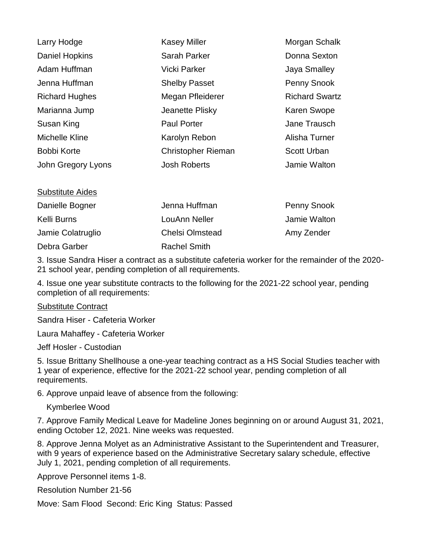| Larry Hodge             | <b>Kasey Miller</b>       | Morgan Schalk         |
|-------------------------|---------------------------|-----------------------|
| <b>Daniel Hopkins</b>   | <b>Sarah Parker</b>       | Donna Sexton          |
| Adam Huffman            | Vicki Parker              | Jaya Smalley          |
| Jenna Huffman           | <b>Shelby Passet</b>      | Penny Snook           |
| <b>Richard Hughes</b>   | Megan Pfleiderer          | <b>Richard Swartz</b> |
| Marianna Jump           | Jeanette Plisky           | <b>Karen Swope</b>    |
| Susan King              | <b>Paul Porter</b>        | Jane Trausch          |
| Michelle Kline          | Karolyn Rebon             | Alisha Turner         |
| Bobbi Korte             | <b>Christopher Rieman</b> | <b>Scott Urban</b>    |
| John Gregory Lyons      | <b>Josh Roberts</b>       | Jamie Walton          |
| <b>Substitute Aides</b> |                           |                       |
| Doniollo Dognor         | Jonna Lluffman            | Danny Chaol           |

| Danielle Bogner   | Jenna Huffman          | <b>Penny Snook</b> |
|-------------------|------------------------|--------------------|
| Kelli Burns       | LouAnn Neller          | Jamie Walton       |
| Jamie Colatruglio | <b>Chelsi Olmstead</b> | Amy Zender         |
| Debra Garber      | <b>Rachel Smith</b>    |                    |

3. Issue Sandra Hiser a contract as a substitute cafeteria worker for the remainder of the 2020- 21 school year, pending completion of all requirements.

4. Issue one year substitute contracts to the following for the 2021-22 school year, pending completion of all requirements:

#### Substitute Contract

Sandra Hiser - Cafeteria Worker

Laura Mahaffey - Cafeteria Worker

Jeff Hosler - Custodian

5. Issue Brittany Shellhouse a one-year teaching contract as a HS Social Studies teacher with 1 year of experience, effective for the 2021-22 school year, pending completion of all requirements.

6. Approve unpaid leave of absence from the following:

Kymberlee Wood

7. Approve Family Medical Leave for Madeline Jones beginning on or around August 31, 2021, ending October 12, 2021. Nine weeks was requested.

8. Approve Jenna Molyet as an Administrative Assistant to the Superintendent and Treasurer, with 9 years of experience based on the Administrative Secretary salary schedule, effective July 1, 2021, pending completion of all requirements.

Approve Personnel items 1-8.

Resolution Number 21-56

Move: Sam Flood Second: Eric King Status: Passed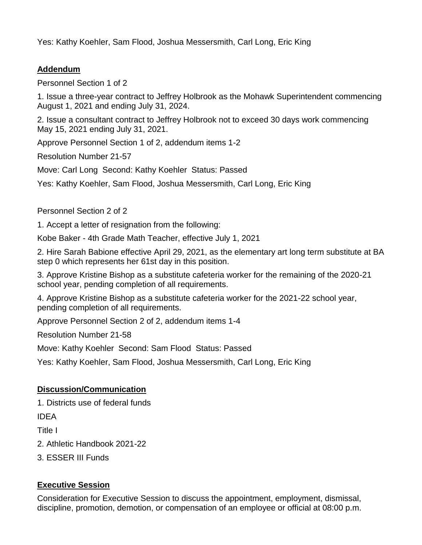Yes: Kathy Koehler, Sam Flood, Joshua Messersmith, Carl Long, Eric King

## **Addendum**

Personnel Section 1 of 2

1. Issue a three-year contract to Jeffrey Holbrook as the Mohawk Superintendent commencing August 1, 2021 and ending July 31, 2024.

2. Issue a consultant contract to Jeffrey Holbrook not to exceed 30 days work commencing May 15, 2021 ending July 31, 2021.

Approve Personnel Section 1 of 2, addendum items 1-2

Resolution Number 21-57

Move: Carl Long Second: Kathy Koehler Status: Passed

Yes: Kathy Koehler, Sam Flood, Joshua Messersmith, Carl Long, Eric King

Personnel Section 2 of 2

1. Accept a letter of resignation from the following:

Kobe Baker - 4th Grade Math Teacher, effective July 1, 2021

2. Hire Sarah Babione effective April 29, 2021, as the elementary art long term substitute at BA step 0 which represents her 61st day in this position.

3. Approve Kristine Bishop as a substitute cafeteria worker for the remaining of the 2020-21 school year, pending completion of all requirements.

4. Approve Kristine Bishop as a substitute cafeteria worker for the 2021-22 school year, pending completion of all requirements.

Approve Personnel Section 2 of 2, addendum items 1-4

Resolution Number 21-58

Move: Kathy Koehler Second: Sam Flood Status: Passed

Yes: Kathy Koehler, Sam Flood, Joshua Messersmith, Carl Long, Eric King

## **Discussion/Communication**

1. Districts use of federal funds

IDEA

Title I

2. Athletic Handbook 2021-22

3. ESSER III Funds

## **Executive Session**

Consideration for Executive Session to discuss the appointment, employment, dismissal, discipline, promotion, demotion, or compensation of an employee or official at 08:00 p.m.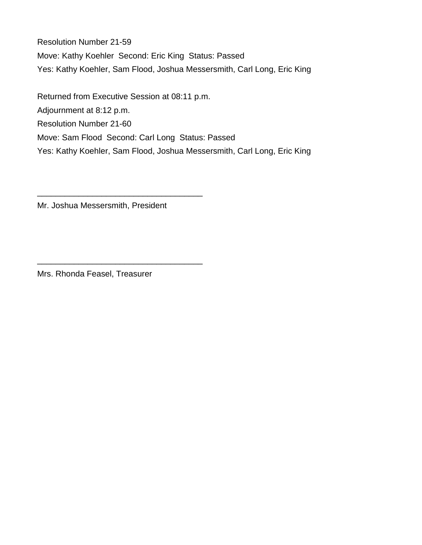Resolution Number 21-59 Move: Kathy Koehler Second: Eric King Status: Passed Yes: Kathy Koehler, Sam Flood, Joshua Messersmith, Carl Long, Eric King

Returned from Executive Session at 08:11 p.m. Adjournment at 8:12 p.m. Resolution Number 21-60 Move: Sam Flood Second: Carl Long Status: Passed Yes: Kathy Koehler, Sam Flood, Joshua Messersmith, Carl Long, Eric King

Mr. Joshua Messersmith, President

\_\_\_\_\_\_\_\_\_\_\_\_\_\_\_\_\_\_\_\_\_\_\_\_\_\_\_\_\_\_\_\_\_\_\_\_

\_\_\_\_\_\_\_\_\_\_\_\_\_\_\_\_\_\_\_\_\_\_\_\_\_\_\_\_\_\_\_\_\_\_\_\_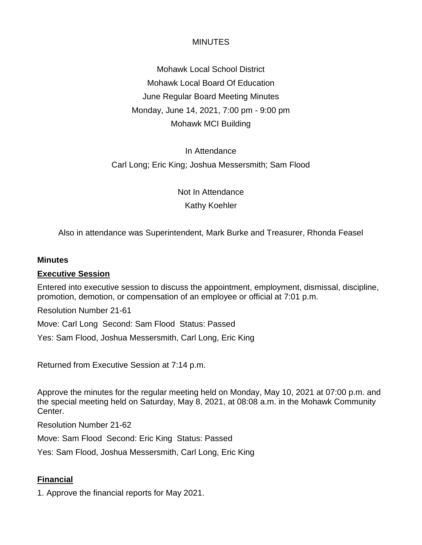Mohawk Local School District Mohawk Local Board Of Education June Regular Board Meeting Minutes Monday, June 14, 2021, 7:00 pm - 9:00 pm Mohawk MCI Building

# In Attendance Carl Long; Eric King; Joshua Messersmith; Sam Flood

Not In Attendance Kathy Koehler

Also in attendance was Superintendent, Mark Burke and Treasurer, Rhonda Feasel

#### **Minutes**

#### **Executive Session**

Entered into executive session to discuss the appointment, employment, dismissal, discipline, promotion, demotion, or compensation of an employee or official at 7:01 p.m.

Resolution Number 21-61

Move: Carl Long Second: Sam Flood Status: Passed

Yes: Sam Flood, Joshua Messersmith, Carl Long, Eric King

Returned from Executive Session at 7:14 p.m.

Approve the minutes for the regular meeting held on Monday, May 10, 2021 at 07:00 p.m. and the special meeting held on Saturday, May 8, 2021, at 08:08 a.m. in the Mohawk Community Center.

Resolution Number 21-62

Move: Sam Flood Second: Eric King Status: Passed

Yes: Sam Flood, Joshua Messersmith, Carl Long, Eric King

# **Financial**

1. Approve the financial reports for May 2021.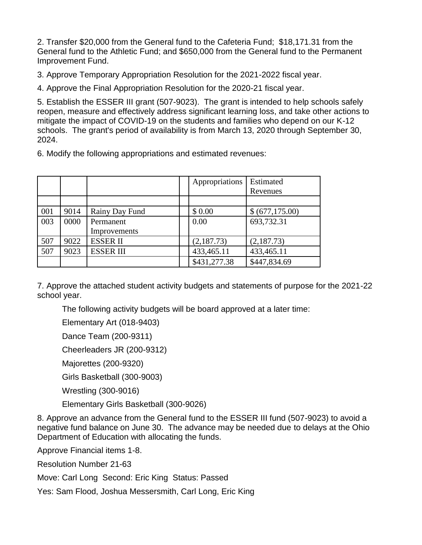2. Transfer \$20,000 from the General fund to the Cafeteria Fund; \$18,171.31 from the General fund to the Athletic Fund; and \$650,000 from the General fund to the Permanent Improvement Fund.

3. Approve Temporary Appropriation Resolution for the 2021-2022 fiscal year.

4. Approve the Final Appropriation Resolution for the 2020-21 fiscal year.

5. Establish the ESSER III grant (507-9023). The grant is intended to help schools safely reopen, measure and effectively address significant learning loss, and take other actions to mitigate the impact of COVID-19 on the students and families who depend on our K-12 schools. The grant's period of availability is from March 13, 2020 through September 30, 2024.

6. Modify the following appropriations and estimated revenues:

|     |      |                  | Appropriations | Estimated<br>Revenues |
|-----|------|------------------|----------------|-----------------------|
|     |      |                  |                |                       |
| 001 | 9014 | Rainy Day Fund   | \$0.00         | \$ (677,175.00)       |
| 003 | 0000 | Permanent        | 0.00           | 693,732.31            |
|     |      | Improvements     |                |                       |
| 507 | 9022 | <b>ESSERII</b>   | (2,187.73)     | (2,187.73)            |
| 507 | 9023 | <b>ESSER III</b> | 433,465.11     | 433,465.11            |
|     |      |                  | \$431,277.38   | \$447,834.69          |

7. Approve the attached student activity budgets and statements of purpose for the 2021-22 school year.

The following activity budgets will be board approved at a later time:

Elementary Art (018-9403)

Dance Team (200-9311)

Cheerleaders JR (200-9312)

Majorettes (200-9320)

Girls Basketball (300-9003)

Wrestling (300-9016)

Elementary Girls Basketball (300-9026)

8. Approve an advance from the General fund to the ESSER III fund (507-9023) to avoid a negative fund balance on June 30. The advance may be needed due to delays at the Ohio Department of Education with allocating the funds.

Approve Financial items 1-8.

Resolution Number 21-63

Move: Carl Long Second: Eric King Status: Passed

Yes: Sam Flood, Joshua Messersmith, Carl Long, Eric King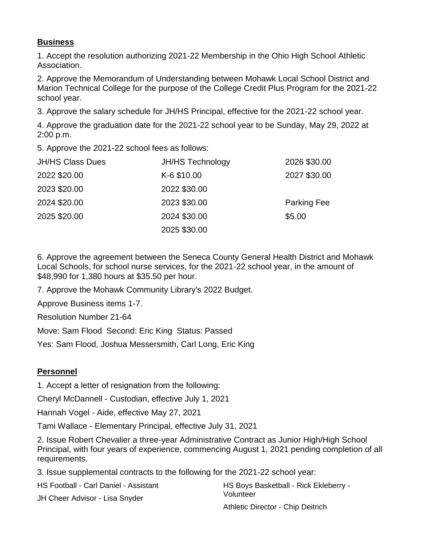### **Business**

1. Accept the resolution authorizing 2021-22 Membership in the Ohio High School Athletic Association.

2. Approve the Memorandum of Understanding between Mohawk Local School District and Marion Technical College for the purpose of the College Credit Plus Program for the 2021-22 school year.

3. Approve the salary schedule for JH/HS Principal, effective for the 2021-22 school year.

4. Approve the graduation date for the 2021-22 school year to be Sunday, May 29, 2022 at 2:00 p.m.

5. Approve the 2021-22 school fees as follows:

| <b>JH/HS Class Dues</b> | <b>JH/HS Technology</b> | 2026 \$30.00       |
|-------------------------|-------------------------|--------------------|
| 2022 \$20.00            | K-6 \$10.00             | 2027 \$30.00       |
| 2023 \$20.00            | 2022 \$30.00            |                    |
| 2024 \$20.00            | 2023 \$30.00            | <b>Parking Fee</b> |
| 2025 \$20.00            | 2024 \$30.00            | \$5.00             |
|                         | 2025 \$30.00            |                    |

6. Approve the agreement between the Seneca County General Health District and Mohawk Local Schools, for school nurse services, for the 2021-22 school year, in the amount of \$48,990 for 1,380 hours at \$35.50 per hour.

7. Approve the Mohawk Community Library's 2022 Budget.

Approve Business items 1-7.

Resolution Number 21-64

Move: Sam Flood Second: Eric King Status: Passed

Yes: Sam Flood, Joshua Messersmith, Carl Long, Eric King

## **Personnel**

1. Accept a letter of resignation from the following:

Cheryl McDannell - Custodian, effective July 1, 2021

Hannah Vogel - Aide, effective May 27, 2021

Tami Wallace - Elementary Principal, effective July 31, 2021

2. Issue Robert Chevalier a three-year Administrative Contract as Junior High/High School Principal, with four years of experience, commencing August 1, 2021 pending completion of all requirements.

3. Issue supplemental contracts to the following for the 2021-22 school year:

| HS Football - Carl Daniel - Assistant | HS Boys Basketball - Rick Ekleberry - |
|---------------------------------------|---------------------------------------|
| JH Cheer Advisor - Lisa Snyder        | Volunteer                             |
|                                       | Athletic Director - Chip Deitrich     |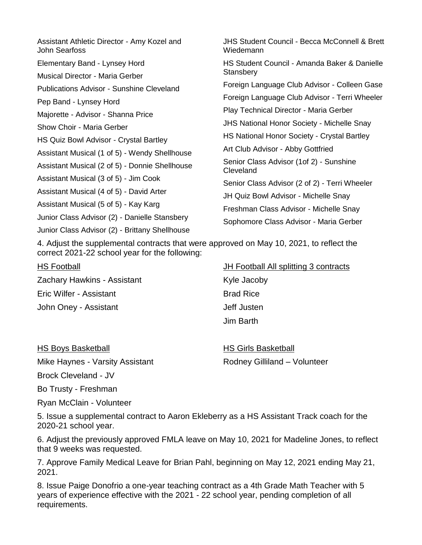| Assistant Athletic Director - Amy Kozel and<br>John Searfoss                                    | JHS Student Council - Becca McConnell & Brett<br>Wiedemann                              |
|-------------------------------------------------------------------------------------------------|-----------------------------------------------------------------------------------------|
| Elementary Band - Lynsey Hord<br><b>Musical Director - Maria Gerber</b>                         | HS Student Council - Amanda Baker & Danielle<br>Stansbery                               |
| Publications Advisor - Sunshine Cleveland                                                       | Foreign Language Club Advisor - Colleen Gase                                            |
| Pep Band - Lynsey Hord                                                                          | Foreign Language Club Advisor - Terri Wheeler<br>Play Technical Director - Maria Gerber |
| Majorette - Advisor - Shanna Price<br>Show Choir - Maria Gerber                                 | <b>JHS National Honor Society - Michelle Snay</b>                                       |
| HS Quiz Bowl Advisor - Crystal Bartley                                                          | HS National Honor Society - Crystal Bartley<br>Art Club Advisor - Abby Gottfried        |
| Assistant Musical (1 of 5) - Wendy Shellhouse<br>Assistant Musical (2 of 5) - Donnie Shellhouse | Senior Class Advisor (1of 2) - Sunshine<br>Cleveland                                    |
| Assistant Musical (3 of 5) - Jim Cook                                                           | Senior Class Advisor (2 of 2) - Terri Wheeler                                           |
| Assistant Musical (4 of 5) - David Arter<br>Assistant Musical (5 of 5) - Kay Karg               | JH Quiz Bowl Advisor - Michelle Snay                                                    |
| Junior Class Advisor (2) - Danielle Stansbery                                                   | Freshman Class Advisor - Michelle Snay<br>Sophomore Class Advisor - Maria Gerber        |
| Junior Class Advisor (2) - Brittany Shellhouse                                                  |                                                                                         |

4. Adjust the supplemental contracts that were approved on May 10, 2021, to reflect the correct 2021-22 school year for the following:

HS Football Zachary Hawkins - Assistant Eric Wilfer - Assistant John Oney - Assistant

**JH Football All splitting 3 contracts** 

Kyle Jacoby Brad Rice Jeff Justen Jim Barth

| <b>HS Boys Basketball</b>       | <b>HS Girls Basketball</b>   |
|---------------------------------|------------------------------|
| Mike Haynes - Varsity Assistant | Rodney Gilliland - Volunteer |

Brock Cleveland - JV

Bo Trusty - Freshman

Ryan McClain - Volunteer

5. Issue a supplemental contract to Aaron Ekleberry as a HS Assistant Track coach for the 2020-21 school year.

6. Adjust the previously approved FMLA leave on May 10, 2021 for Madeline Jones, to reflect that 9 weeks was requested.

7. Approve Family Medical Leave for Brian Pahl, beginning on May 12, 2021 ending May 21, 2021.

8. Issue Paige Donofrio a one-year teaching contract as a 4th Grade Math Teacher with 5 years of experience effective with the 2021 - 22 school year, pending completion of all requirements.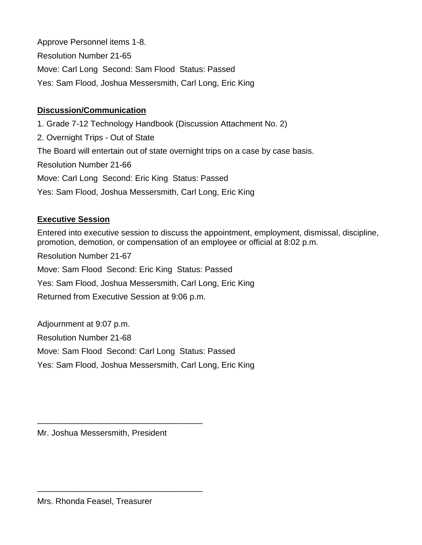Approve Personnel items 1-8. Resolution Number 21-65 Move: Carl Long Second: Sam Flood Status: Passed Yes: Sam Flood, Joshua Messersmith, Carl Long, Eric King

### **Discussion/Communication**

1. Grade 7-12 Technology Handbook (Discussion Attachment No. 2) 2. Overnight Trips - Out of State The Board will entertain out of state overnight trips on a case by case basis. Resolution Number 21-66 Move: Carl Long Second: Eric King Status: Passed Yes: Sam Flood, Joshua Messersmith, Carl Long, Eric King

### **Executive Session**

Entered into executive session to discuss the appointment, employment, dismissal, discipline, promotion, demotion, or compensation of an employee or official at 8:02 p.m.

Resolution Number 21-67 Move: Sam Flood Second: Eric King Status: Passed Yes: Sam Flood, Joshua Messersmith, Carl Long, Eric King Returned from Executive Session at 9:06 p.m.

Adjournment at 9:07 p.m. Resolution Number 21-68 Move: Sam Flood Second: Carl Long Status: Passed Yes: Sam Flood, Joshua Messersmith, Carl Long, Eric King

Mr. Joshua Messersmith, President

\_\_\_\_\_\_\_\_\_\_\_\_\_\_\_\_\_\_\_\_\_\_\_\_\_\_\_\_\_\_\_\_\_\_\_\_

\_\_\_\_\_\_\_\_\_\_\_\_\_\_\_\_\_\_\_\_\_\_\_\_\_\_\_\_\_\_\_\_\_\_\_\_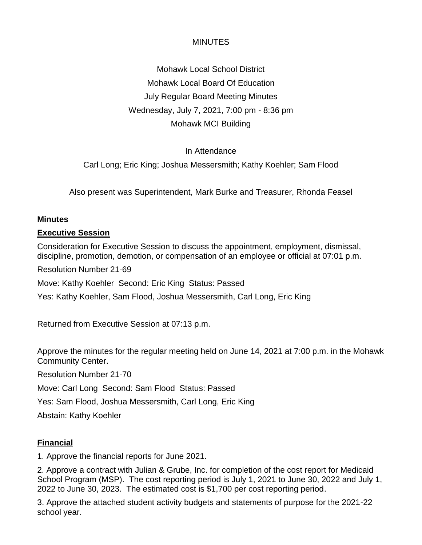Mohawk Local School District Mohawk Local Board Of Education July Regular Board Meeting Minutes Wednesday, July 7, 2021, 7:00 pm - 8:36 pm Mohawk MCI Building

### In Attendance

Carl Long; Eric King; Joshua Messersmith; Kathy Koehler; Sam Flood

Also present was Superintendent, Mark Burke and Treasurer, Rhonda Feasel

#### **Minutes**

#### **Executive Session**

Consideration for Executive Session to discuss the appointment, employment, dismissal, discipline, promotion, demotion, or compensation of an employee or official at 07:01 p.m.

Resolution Number 21-69

Move: Kathy Koehler Second: Eric King Status: Passed

Yes: Kathy Koehler, Sam Flood, Joshua Messersmith, Carl Long, Eric King

Returned from Executive Session at 07:13 p.m.

Approve the minutes for the regular meeting held on June 14, 2021 at 7:00 p.m. in the Mohawk Community Center.

Resolution Number 21-70

Move: Carl Long Second: Sam Flood Status: Passed

Yes: Sam Flood, Joshua Messersmith, Carl Long, Eric King

Abstain: Kathy Koehler

### **Financial**

1. Approve the financial reports for June 2021.

2. Approve a contract with Julian & Grube, Inc. for completion of the cost report for Medicaid School Program (MSP). The cost reporting period is July 1, 2021 to June 30, 2022 and July 1, 2022 to June 30, 2023. The estimated cost is \$1,700 per cost reporting period.

3. Approve the attached student activity budgets and statements of purpose for the 2021-22 school year.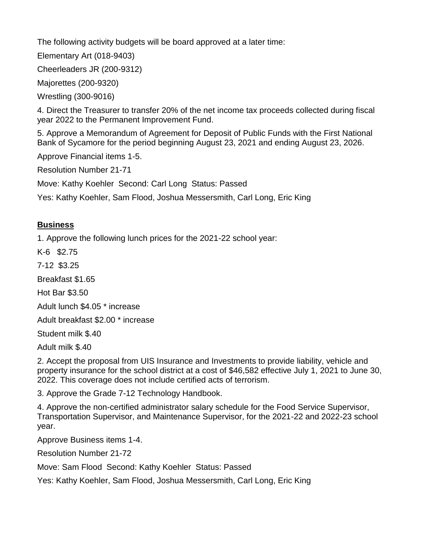The following activity budgets will be board approved at a later time:

Elementary Art (018-9403)

Cheerleaders JR (200-9312)

Majorettes (200-9320)

Wrestling (300-9016)

4. Direct the Treasurer to transfer 20% of the net income tax proceeds collected during fiscal year 2022 to the Permanent Improvement Fund.

5. Approve a Memorandum of Agreement for Deposit of Public Funds with the First National Bank of Sycamore for the period beginning August 23, 2021 and ending August 23, 2026.

Approve Financial items 1-5.

Resolution Number 21-71

Move: Kathy Koehler Second: Carl Long Status: Passed

Yes: Kathy Koehler, Sam Flood, Joshua Messersmith, Carl Long, Eric King

### **Business**

1. Approve the following lunch prices for the 2021-22 school year:

K-6 \$2.75

7-12 \$3.25

Breakfast \$1.65

Hot Bar \$3.50

Adult lunch \$4.05 \* increase

Adult breakfast \$2.00 \* increase

Student milk \$.40

Adult milk \$.40

2. Accept the proposal from UIS Insurance and Investments to provide liability, vehicle and property insurance for the school district at a cost of \$46,582 effective July 1, 2021 to June 30, 2022. This coverage does not include certified acts of terrorism.

3. Approve the Grade 7-12 Technology Handbook.

4. Approve the non-certified administrator salary schedule for the Food Service Supervisor, Transportation Supervisor, and Maintenance Supervisor, for the 2021-22 and 2022-23 school year.

Approve Business items 1-4.

Resolution Number 21-72

Move: Sam Flood Second: Kathy Koehler Status: Passed

Yes: Kathy Koehler, Sam Flood, Joshua Messersmith, Carl Long, Eric King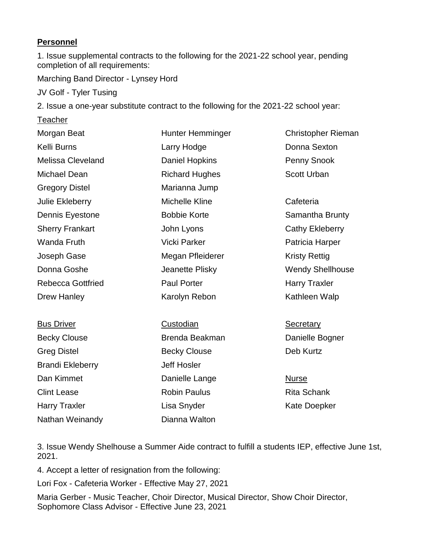### **Personnel**

1. Issue supplemental contracts to the following for the 2021-22 school year, pending completion of all requirements:

Marching Band Director - Lynsey Hord

JV Golf - Tyler Tusing

2. Issue a one-year substitute contract to the following for the 2021-22 school year:

**Teacher** 

| Morgan Beat              | Hunter Hemminger      | <b>Christopher Rieman</b> |
|--------------------------|-----------------------|---------------------------|
| Kelli Burns              | Larry Hodge           | Donna Sexton              |
| <b>Melissa Cleveland</b> | <b>Daniel Hopkins</b> | Penny Snook               |
| Michael Dean             | <b>Richard Hughes</b> | <b>Scott Urban</b>        |
| <b>Gregory Distel</b>    | Marianna Jump         |                           |
| Julie Ekleberry          | <b>Michelle Kline</b> | Cafeteria                 |
| Dennis Eyestone          | <b>Bobbie Korte</b>   | Samantha Brunty           |
| <b>Sherry Frankart</b>   | John Lyons            | <b>Cathy Ekleberry</b>    |
| <b>Wanda Fruth</b>       | <b>Vicki Parker</b>   | Patricia Harper           |
| Joseph Gase              | Megan Pfleiderer      | <b>Kristy Rettig</b>      |
| Donna Goshe              | Jeanette Plisky       | <b>Wendy Shellhouse</b>   |
| <b>Rebecca Gottfried</b> | <b>Paul Porter</b>    | <b>Harry Traxler</b>      |
| <b>Drew Hanley</b>       | Karolyn Rebon         | Kathleen Walp             |
|                          |                       |                           |
| <b>Bus Driver</b>        | <b>Custodian</b>      | <b>Secretary</b>          |
| <b>Becky Clouse</b>      | Brenda Beakman        | Danielle Bogner           |
| <b>Greg Distel</b>       | <b>Becky Clouse</b>   | Deb Kurtz                 |
| <b>Brandi Ekleberry</b>  | <b>Jeff Hosler</b>    |                           |
| Dan Kimmet               | Danielle Lange        | <b>Nurse</b>              |
| <b>Clint Lease</b>       | <b>Robin Paulus</b>   | <b>Rita Schank</b>        |
| <b>Harry Traxler</b>     | Lisa Snyder           | <b>Kate Doepker</b>       |

3. Issue Wendy Shelhouse a Summer Aide contract to fulfill a students IEP, effective June 1st, 2021.

4. Accept a letter of resignation from the following:

Nathan Weinandy

Lori Fox - Cafeteria Worker - Effective May 27, 2021

Maria Gerber - Music Teacher, Choir Director, Musical Director, Show Choir Director, Sophomore Class Advisor - Effective June 23, 2021

Dianna Walton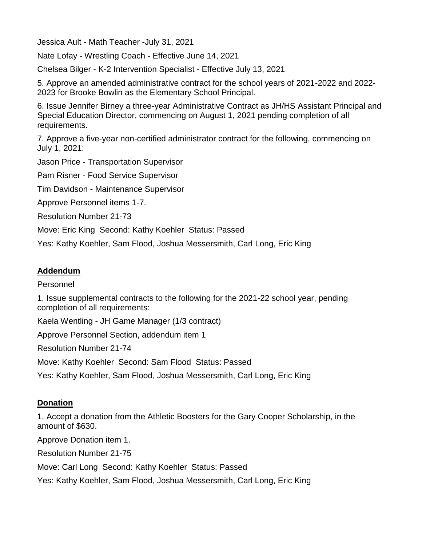Jessica Ault - Math Teacher -July 31, 2021

Nate Lofay - Wrestling Coach - Effective June 14, 2021

Chelsea Bilger - K-2 Intervention Specialist - Effective July 13, 2021

5. Approve an amended administrative contract for the school years of 2021-2022 and 2022- 2023 for Brooke Bowlin as the Elementary School Principal.

6. Issue Jennifer Birney a three-year Administrative Contract as JH/HS Assistant Principal and Special Education Director, commencing on August 1, 2021 pending completion of all requirements.

7. Approve a five-year non-certified administrator contract for the following, commencing on July 1, 2021:

Jason Price - Transportation Supervisor

Pam Risner - Food Service Supervisor

Tim Davidson - Maintenance Supervisor

Approve Personnel items 1-7.

Resolution Number 21-73

Move: Eric King Second: Kathy Koehler Status: Passed

Yes: Kathy Koehler, Sam Flood, Joshua Messersmith, Carl Long, Eric King

### **Addendum**

#### Personnel

1. Issue supplemental contracts to the following for the 2021-22 school year, pending completion of all requirements:

Kaela Wentling - JH Game Manager (1/3 contract)

Approve Personnel Section, addendum item 1

Resolution Number 21-74

Move: Kathy Koehler Second: Sam Flood Status: Passed

Yes: Kathy Koehler, Sam Flood, Joshua Messersmith, Carl Long, Eric King

### **Donation**

1. Accept a donation from the Athletic Boosters for the Gary Cooper Scholarship, in the amount of \$630.

Approve Donation item 1.

Resolution Number 21-75

Move: Carl Long Second: Kathy Koehler Status: Passed

Yes: Kathy Koehler, Sam Flood, Joshua Messersmith, Carl Long, Eric King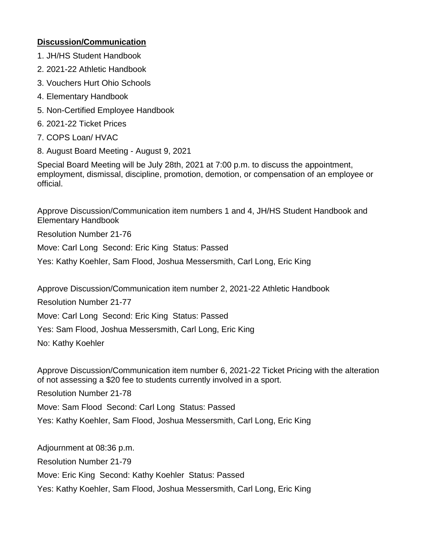### **Discussion/Communication**

- 1. JH/HS Student Handbook
- 2. 2021-22 Athletic Handbook
- 3. Vouchers Hurt Ohio Schools
- 4. Elementary Handbook
- 5. Non-Certified Employee Handbook
- 6. 2021-22 Ticket Prices
- 7. COPS Loan/ HVAC
- 8. August Board Meeting August 9, 2021

Special Board Meeting will be July 28th, 2021 at 7:00 p.m. to discuss the appointment, employment, dismissal, discipline, promotion, demotion, or compensation of an employee or official.

Approve Discussion/Communication item numbers 1 and 4, JH/HS Student Handbook and Elementary Handbook

Resolution Number 21-76

Move: Carl Long Second: Eric King Status: Passed

Yes: Kathy Koehler, Sam Flood, Joshua Messersmith, Carl Long, Eric King

Approve Discussion/Communication item number 2, 2021-22 Athletic Handbook

Resolution Number 21-77

Move: Carl Long Second: Eric King Status: Passed

Yes: Sam Flood, Joshua Messersmith, Carl Long, Eric King

No: Kathy Koehler

Approve Discussion/Communication item number 6, 2021-22 Ticket Pricing with the alteration of not assessing a \$20 fee to students currently involved in a sport.

Resolution Number 21-78

Move: Sam Flood Second: Carl Long Status: Passed

Yes: Kathy Koehler, Sam Flood, Joshua Messersmith, Carl Long, Eric King

Adjournment at 08:36 p.m. Resolution Number 21-79 Move: Eric King Second: Kathy Koehler Status: Passed Yes: Kathy Koehler, Sam Flood, Joshua Messersmith, Carl Long, Eric King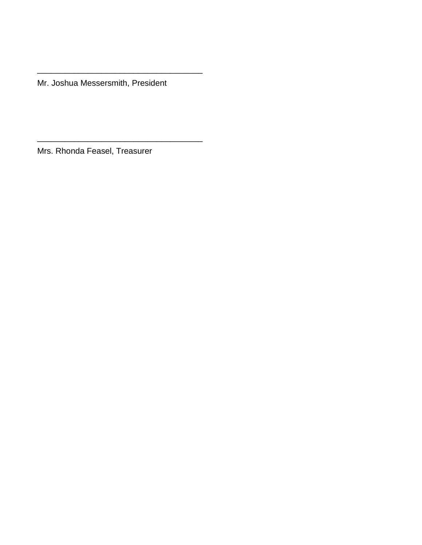Mr. Joshua Messersmith, President

\_\_\_\_\_\_\_\_\_\_\_\_\_\_\_\_\_\_\_\_\_\_\_\_\_\_\_\_\_\_\_\_\_\_\_\_

\_\_\_\_\_\_\_\_\_\_\_\_\_\_\_\_\_\_\_\_\_\_\_\_\_\_\_\_\_\_\_\_\_\_\_\_

Mrs. Rhonda Feasel, Treasurer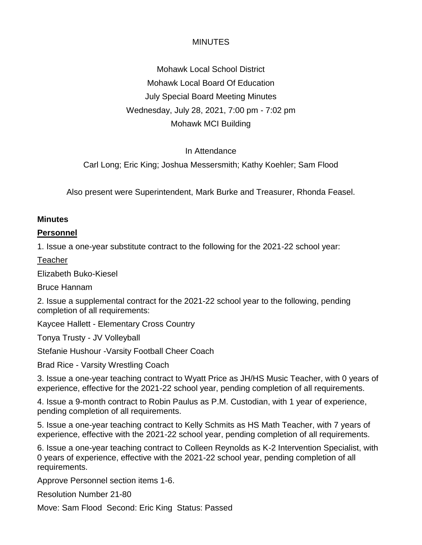Mohawk Local School District Mohawk Local Board Of Education July Special Board Meeting Minutes Wednesday, July 28, 2021, 7:00 pm - 7:02 pm Mohawk MCI Building

### In Attendance

Carl Long; Eric King; Joshua Messersmith; Kathy Koehler; Sam Flood

Also present were Superintendent, Mark Burke and Treasurer, Rhonda Feasel.

#### **Minutes**

### **Personnel**

1. Issue a one-year substitute contract to the following for the 2021-22 school year:

**Teacher** 

Elizabeth Buko-Kiesel

Bruce Hannam

2. Issue a supplemental contract for the 2021-22 school year to the following, pending completion of all requirements:

Kaycee Hallett - Elementary Cross Country

Tonya Trusty - JV Volleyball

Stefanie Hushour -Varsity Football Cheer Coach

Brad Rice - Varsity Wrestling Coach

3. Issue a one-year teaching contract to Wyatt Price as JH/HS Music Teacher, with 0 years of experience, effective for the 2021-22 school year, pending completion of all requirements.

4. Issue a 9-month contract to Robin Paulus as P.M. Custodian, with 1 year of experience, pending completion of all requirements.

5. Issue a one-year teaching contract to Kelly Schmits as HS Math Teacher, with 7 years of experience, effective with the 2021-22 school year, pending completion of all requirements.

6. Issue a one-year teaching contract to Colleen Reynolds as K-2 Intervention Specialist, with 0 years of experience, effective with the 2021-22 school year, pending completion of all requirements.

Approve Personnel section items 1-6.

Resolution Number 21-80

Move: Sam Flood Second: Eric King Status: Passed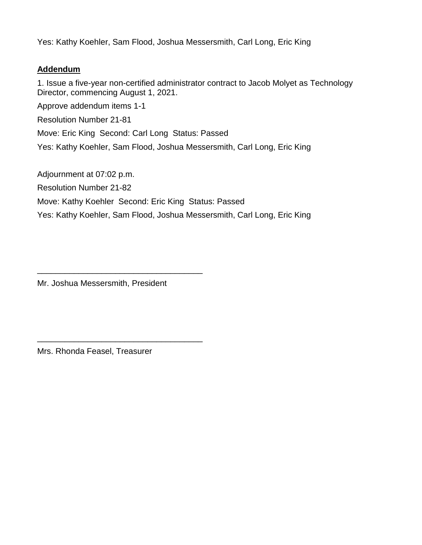Yes: Kathy Koehler, Sam Flood, Joshua Messersmith, Carl Long, Eric King

### **Addendum**

1. Issue a five-year non-certified administrator contract to Jacob Molyet as Technology Director, commencing August 1, 2021.

Approve addendum items 1-1

Resolution Number 21-81

Move: Eric King Second: Carl Long Status: Passed

Yes: Kathy Koehler, Sam Flood, Joshua Messersmith, Carl Long, Eric King

Adjournment at 07:02 p.m.

Resolution Number 21-82

Move: Kathy Koehler Second: Eric King Status: Passed

Yes: Kathy Koehler, Sam Flood, Joshua Messersmith, Carl Long, Eric King

Mr. Joshua Messersmith, President

\_\_\_\_\_\_\_\_\_\_\_\_\_\_\_\_\_\_\_\_\_\_\_\_\_\_\_\_\_\_\_\_\_\_\_\_

\_\_\_\_\_\_\_\_\_\_\_\_\_\_\_\_\_\_\_\_\_\_\_\_\_\_\_\_\_\_\_\_\_\_\_\_

Mrs. Rhonda Feasel, Treasurer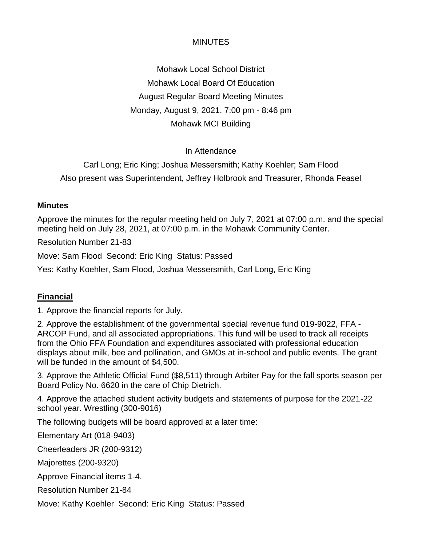Mohawk Local School District Mohawk Local Board Of Education August Regular Board Meeting Minutes Monday, August 9, 2021, 7:00 pm - 8:46 pm Mohawk MCI Building

### In Attendance

Carl Long; Eric King; Joshua Messersmith; Kathy Koehler; Sam Flood Also present was Superintendent, Jeffrey Holbrook and Treasurer, Rhonda Feasel

### **Minutes**

Approve the minutes for the regular meeting held on July 7, 2021 at 07:00 p.m. and the special meeting held on July 28, 2021, at 07:00 p.m. in the Mohawk Community Center.

Resolution Number 21-83

Move: Sam Flood Second: Eric King Status: Passed

Yes: Kathy Koehler, Sam Flood, Joshua Messersmith, Carl Long, Eric King

## **Financial**

1. Approve the financial reports for July.

2. Approve the establishment of the governmental special revenue fund 019-9022, FFA - ARCOP Fund, and all associated appropriations. This fund will be used to track all receipts from the Ohio FFA Foundation and expenditures associated with professional education displays about milk, bee and pollination, and GMOs at in-school and public events. The grant will be funded in the amount of \$4,500.

3. Approve the Athletic Official Fund (\$8,511) through Arbiter Pay for the fall sports season per Board Policy No. 6620 in the care of Chip Dietrich.

4. Approve the attached student activity budgets and statements of purpose for the 2021-22 school year. Wrestling (300-9016)

The following budgets will be board approved at a later time:

Elementary Art (018-9403)

Cheerleaders JR (200-9312)

Majorettes (200-9320)

Approve Financial items 1-4.

Resolution Number 21-84

Move: Kathy Koehler Second: Eric King Status: Passed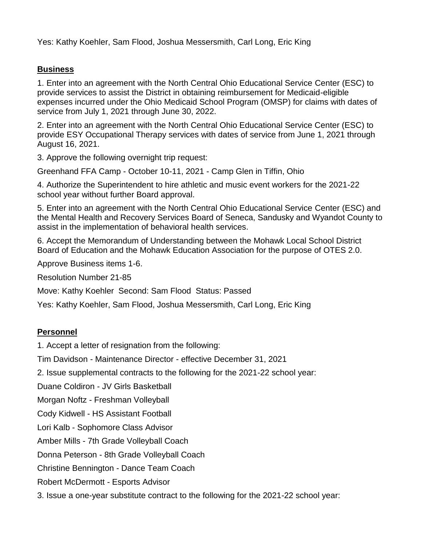Yes: Kathy Koehler, Sam Flood, Joshua Messersmith, Carl Long, Eric King

### **Business**

1. Enter into an agreement with the North Central Ohio Educational Service Center (ESC) to provide services to assist the District in obtaining reimbursement for Medicaid-eligible expenses incurred under the Ohio Medicaid School Program (OMSP) for claims with dates of service from July 1, 2021 through June 30, 2022.

2. Enter into an agreement with the North Central Ohio Educational Service Center (ESC) to provide ESY Occupational Therapy services with dates of service from June 1, 2021 through August 16, 2021.

3. Approve the following overnight trip request:

Greenhand FFA Camp - October 10-11, 2021 - Camp Glen in Tiffin, Ohio

4. Authorize the Superintendent to hire athletic and music event workers for the 2021-22 school year without further Board approval.

5. Enter into an agreement with the North Central Ohio Educational Service Center (ESC) and the Mental Health and Recovery Services Board of Seneca, Sandusky and Wyandot County to assist in the implementation of behavioral health services.

6. Accept the Memorandum of Understanding between the Mohawk Local School District Board of Education and the Mohawk Education Association for the purpose of OTES 2.0.

Approve Business items 1-6.

Resolution Number 21-85

Move: Kathy Koehler Second: Sam Flood Status: Passed

Yes: Kathy Koehler, Sam Flood, Joshua Messersmith, Carl Long, Eric King

#### **Personnel**

1. Accept a letter of resignation from the following:

Tim Davidson - Maintenance Director - effective December 31, 2021

2. Issue supplemental contracts to the following for the 2021-22 school year:

Duane Coldiron - JV Girls Basketball

Morgan Noftz - Freshman Volleyball

Cody Kidwell - HS Assistant Football

Lori Kalb - Sophomore Class Advisor

Amber Mills - 7th Grade Volleyball Coach

Donna Peterson - 8th Grade Volleyball Coach

Christine Bennington - Dance Team Coach

Robert McDermott - Esports Advisor

3. Issue a one-year substitute contract to the following for the 2021-22 school year: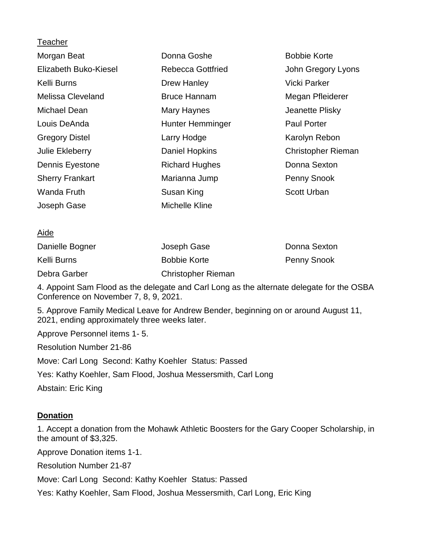| Donna Goshe              | <b>Bobbie Korte</b>       |
|--------------------------|---------------------------|
| <b>Rebecca Gottfried</b> | John Gregory Lyons        |
| Drew Hanley              | <b>Vicki Parker</b>       |
| <b>Bruce Hannam</b>      | Megan Pfleiderer          |
| Mary Haynes              | Jeanette Plisky           |
| Hunter Hemminger         | <b>Paul Porter</b>        |
| Larry Hodge              | Karolyn Rebon             |
| Daniel Hopkins           | <b>Christopher Rieman</b> |
| <b>Richard Hughes</b>    | Donna Sexton              |
| Marianna Jump            | <b>Penny Snook</b>        |
| Susan King               | <b>Scott Urban</b>        |
| Michelle Kline           |                           |
|                          |                           |

#### Aide

| Danielle Bogner | Joseph Gase               | Donna Sexton       |
|-----------------|---------------------------|--------------------|
| Kelli Burns     | <b>Bobbie Korte</b>       | <b>Penny Snook</b> |
| Debra Garber    | <b>Christopher Rieman</b> |                    |

4. Appoint Sam Flood as the delegate and Carl Long as the alternate delegate for the OSBA Conference on November 7, 8, 9, 2021.

5. Approve Family Medical Leave for Andrew Bender, beginning on or around August 11, 2021, ending approximately three weeks later.

Approve Personnel items 1- 5.

Resolution Number 21-86

Move: Carl Long Second: Kathy Koehler Status: Passed

Yes: Kathy Koehler, Sam Flood, Joshua Messersmith, Carl Long

Abstain: Eric King

#### **Donation**

1. Accept a donation from the Mohawk Athletic Boosters for the Gary Cooper Scholarship, in the amount of \$3,325.

Approve Donation items 1-1.

Resolution Number 21-87

Move: Carl Long Second: Kathy Koehler Status: Passed

Yes: Kathy Koehler, Sam Flood, Joshua Messersmith, Carl Long, Eric King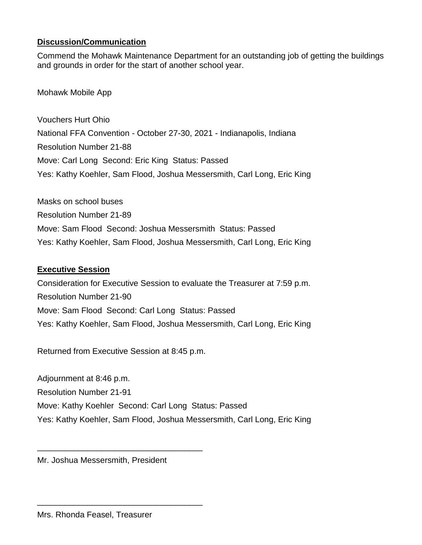### **Discussion/Communication**

Commend the Mohawk Maintenance Department for an outstanding job of getting the buildings and grounds in order for the start of another school year.

Mohawk Mobile App

Vouchers Hurt Ohio National FFA Convention - October 27-30, 2021 - Indianapolis, Indiana Resolution Number 21-88 Move: Carl Long Second: Eric King Status: Passed Yes: Kathy Koehler, Sam Flood, Joshua Messersmith, Carl Long, Eric King

Masks on school buses Resolution Number 21-89 Move: Sam Flood Second: Joshua Messersmith Status: Passed Yes: Kathy Koehler, Sam Flood, Joshua Messersmith, Carl Long, Eric King

### **Executive Session**

Consideration for Executive Session to evaluate the Treasurer at 7:59 p.m. Resolution Number 21-90 Move: Sam Flood Second: Carl Long Status: Passed Yes: Kathy Koehler, Sam Flood, Joshua Messersmith, Carl Long, Eric King

Returned from Executive Session at 8:45 p.m.

Adjournment at 8:46 p.m. Resolution Number 21-91 Move: Kathy Koehler Second: Carl Long Status: Passed Yes: Kathy Koehler, Sam Flood, Joshua Messersmith, Carl Long, Eric King

Mr. Joshua Messersmith, President

\_\_\_\_\_\_\_\_\_\_\_\_\_\_\_\_\_\_\_\_\_\_\_\_\_\_\_\_\_\_\_\_\_\_\_\_

\_\_\_\_\_\_\_\_\_\_\_\_\_\_\_\_\_\_\_\_\_\_\_\_\_\_\_\_\_\_\_\_\_\_\_\_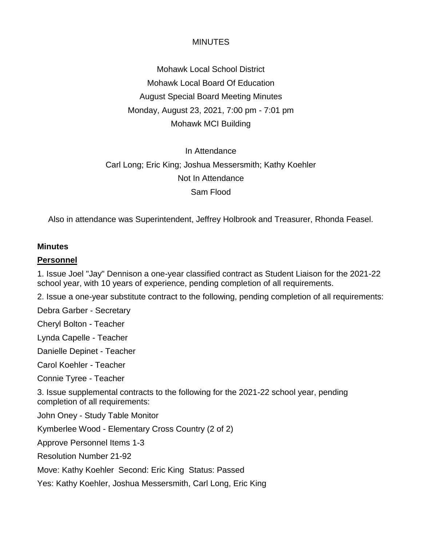Mohawk Local School District Mohawk Local Board Of Education August Special Board Meeting Minutes Monday, August 23, 2021, 7:00 pm - 7:01 pm Mohawk MCI Building

# In Attendance Carl Long; Eric King; Joshua Messersmith; Kathy Koehler Not In Attendance Sam Flood

Also in attendance was Superintendent, Jeffrey Holbrook and Treasurer, Rhonda Feasel.

#### **Minutes**

#### **Personnel**

1. Issue Joel "Jay" Dennison a one-year classified contract as Student Liaison for the 2021-22 school year, with 10 years of experience, pending completion of all requirements.

2. Issue a one-year substitute contract to the following, pending completion of all requirements:

Debra Garber - Secretary

Cheryl Bolton - Teacher

Lynda Capelle - Teacher

Danielle Depinet - Teacher

Carol Koehler - Teacher

Connie Tyree - Teacher

3. Issue supplemental contracts to the following for the 2021-22 school year, pending completion of all requirements:

John Oney - Study Table Monitor

Kymberlee Wood - Elementary Cross Country (2 of 2)

Approve Personnel Items 1-3

Resolution Number 21-92

Move: Kathy Koehler Second: Eric King Status: Passed

Yes: Kathy Koehler, Joshua Messersmith, Carl Long, Eric King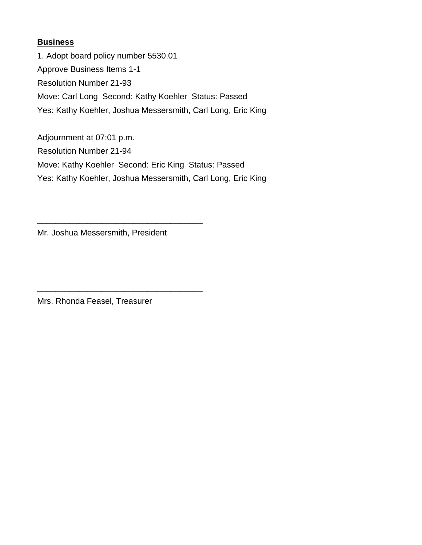### **Business**

1. Adopt board policy number 5530.01 Approve Business Items 1-1 Resolution Number 21-93 Move: Carl Long Second: Kathy Koehler Status: Passed Yes: Kathy Koehler, Joshua Messersmith, Carl Long, Eric King

Adjournment at 07:01 p.m. Resolution Number 21-94 Move: Kathy Koehler Second: Eric King Status: Passed Yes: Kathy Koehler, Joshua Messersmith, Carl Long, Eric King

Mr. Joshua Messersmith, President

\_\_\_\_\_\_\_\_\_\_\_\_\_\_\_\_\_\_\_\_\_\_\_\_\_\_\_\_\_\_\_\_\_\_\_\_

\_\_\_\_\_\_\_\_\_\_\_\_\_\_\_\_\_\_\_\_\_\_\_\_\_\_\_\_\_\_\_\_\_\_\_\_

Mrs. Rhonda Feasel, Treasurer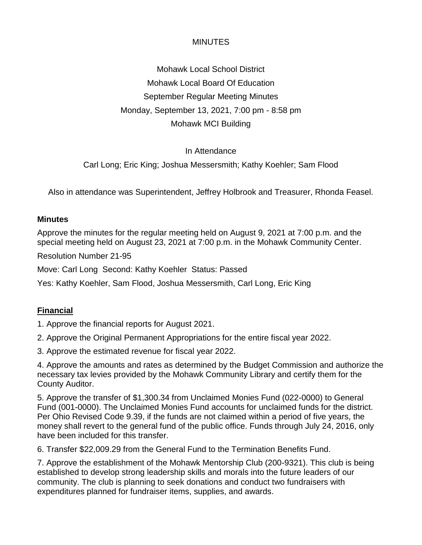Mohawk Local School District Mohawk Local Board Of Education September Regular Meeting Minutes Monday, September 13, 2021, 7:00 pm - 8:58 pm Mohawk MCI Building

### In Attendance

Carl Long; Eric King; Joshua Messersmith; Kathy Koehler; Sam Flood

Also in attendance was Superintendent, Jeffrey Holbrook and Treasurer, Rhonda Feasel.

#### **Minutes**

Approve the minutes for the regular meeting held on August 9, 2021 at 7:00 p.m. and the special meeting held on August 23, 2021 at 7:00 p.m. in the Mohawk Community Center.

Resolution Number 21-95

Move: Carl Long Second: Kathy Koehler Status: Passed

Yes: Kathy Koehler, Sam Flood, Joshua Messersmith, Carl Long, Eric King

#### **Financial**

1. Approve the financial reports for August 2021.

2. Approve the Original Permanent Appropriations for the entire fiscal year 2022.

3. Approve the estimated revenue for fiscal year 2022.

4. Approve the amounts and rates as determined by the Budget Commission and authorize the necessary tax levies provided by the Mohawk Community Library and certify them for the County Auditor.

5. Approve the transfer of \$1,300.34 from Unclaimed Monies Fund (022-0000) to General Fund (001-0000). The Unclaimed Monies Fund accounts for unclaimed funds for the district. Per Ohio Revised Code 9.39, if the funds are not claimed within a period of five years, the money shall revert to the general fund of the public office. Funds through July 24, 2016, only have been included for this transfer.

6. Transfer \$22,009.29 from the General Fund to the Termination Benefits Fund.

7. Approve the establishment of the Mohawk Mentorship Club (200-9321). This club is being established to develop strong leadership skills and morals into the future leaders of our community. The club is planning to seek donations and conduct two fundraisers with expenditures planned for fundraiser items, supplies, and awards.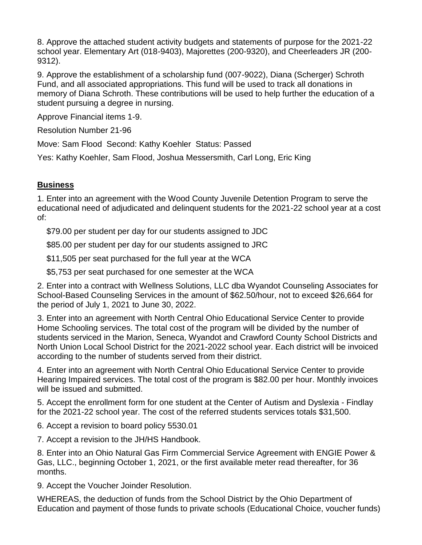8. Approve the attached student activity budgets and statements of purpose for the 2021-22 school year. Elementary Art (018-9403), Majorettes (200-9320), and Cheerleaders JR (200- 9312).

9. Approve the establishment of a scholarship fund (007-9022), Diana (Scherger) Schroth Fund, and all associated appropriations. This fund will be used to track all donations in memory of Diana Schroth. These contributions will be used to help further the education of a student pursuing a degree in nursing.

Approve Financial items 1-9.

Resolution Number 21-96

Move: Sam Flood Second: Kathy Koehler Status: Passed

Yes: Kathy Koehler, Sam Flood, Joshua Messersmith, Carl Long, Eric King

### **Business**

1. Enter into an agreement with the Wood County Juvenile Detention Program to serve the educational need of adjudicated and delinquent students for the 2021-22 school year at a cost of:

\$79.00 per student per day for our students assigned to JDC

\$85.00 per student per day for our students assigned to JRC

\$11,505 per seat purchased for the full year at the WCA

\$5,753 per seat purchased for one semester at the WCA

2. Enter into a contract with Wellness Solutions, LLC dba Wyandot Counseling Associates for School-Based Counseling Services in the amount of \$62.50/hour, not to exceed \$26,664 for the period of July 1, 2021 to June 30, 2022.

3. Enter into an agreement with North Central Ohio Educational Service Center to provide Home Schooling services. The total cost of the program will be divided by the number of students serviced in the Marion, Seneca, Wyandot and Crawford County School Districts and North Union Local School District for the 2021-2022 school year. Each district will be invoiced according to the number of students served from their district.

4. Enter into an agreement with North Central Ohio Educational Service Center to provide Hearing Impaired services. The total cost of the program is \$82.00 per hour. Monthly invoices will be issued and submitted.

5. Accept the enrollment form for one student at the Center of Autism and Dyslexia - Findlay for the 2021-22 school year. The cost of the referred students services totals \$31,500.

6. Accept a revision to board policy 5530.01

7. Accept a revision to the JH/HS Handbook.

8. Enter into an Ohio Natural Gas Firm Commercial Service Agreement with ENGIE Power & Gas, LLC., beginning October 1, 2021, or the first available meter read thereafter, for 36 months.

9. Accept the Voucher Joinder Resolution.

WHEREAS, the deduction of funds from the School District by the Ohio Department of Education and payment of those funds to private schools (Educational Choice, voucher funds)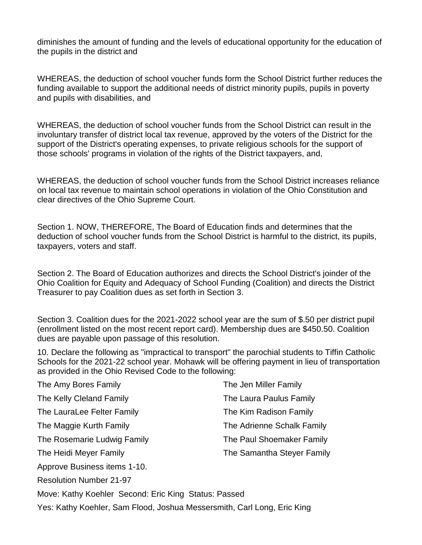diminishes the amount of funding and the levels of educational opportunity for the education of the pupils in the district and

WHEREAS, the deduction of school voucher funds form the School District further reduces the funding available to support the additional needs of district minority pupils, pupils in poverty and pupils with disabilities, and

WHEREAS, the deduction of school voucher funds from the School District can result in the involuntary transfer of district local tax revenue, approved by the voters of the District for the support of the District's operating expenses, to private religious schools for the support of those schools' programs in violation of the rights of the District taxpayers, and,

WHEREAS, the deduction of school voucher funds from the School District increases reliance on local tax revenue to maintain school operations in violation of the Ohio Constitution and clear directives of the Ohio Supreme Court.

Section 1. NOW, THEREFORE, The Board of Education finds and determines that the deduction of school voucher funds from the School District is harmful to the district, its pupils, taxpayers, voters and staff.

Section 2. The Board of Education authorizes and directs the School District's joinder of the Ohio Coalition for Equity and Adequacy of School Funding (Coalition) and directs the District Treasurer to pay Coalition dues as set forth in Section 3.

Section 3. Coalition dues for the 2021-2022 school year are the sum of \$.50 per district pupil (enrollment listed on the most recent report card). Membership dues are \$450.50. Coalition dues are payable upon passage of this resolution.

10. Declare the following as "impractical to transport" the parochial students to Tiffin Catholic Schools for the 2021-22 school year. Mohawk will be offering payment in lieu of transportation as provided in the Ohio Revised Code to the following:

| The Amy Bores Family           | The Jen Miller Family      |
|--------------------------------|----------------------------|
| The Kelly Cleland Family       | The Laura Paulus Family    |
| The LauraLee Felter Family     | The Kim Radison Family     |
| The Maggie Kurth Family        | The Adrienne Schalk Family |
| The Rosemarie Ludwig Family    | The Paul Shoemaker Family  |
| The Heidi Meyer Family         | The Samantha Steyer Family |
| Approve Business items 1-10.   |                            |
| <b>Resolution Number 21-97</b> |                            |

Move: Kathy Koehler Second: Eric King Status: Passed

Yes: Kathy Koehler, Sam Flood, Joshua Messersmith, Carl Long, Eric King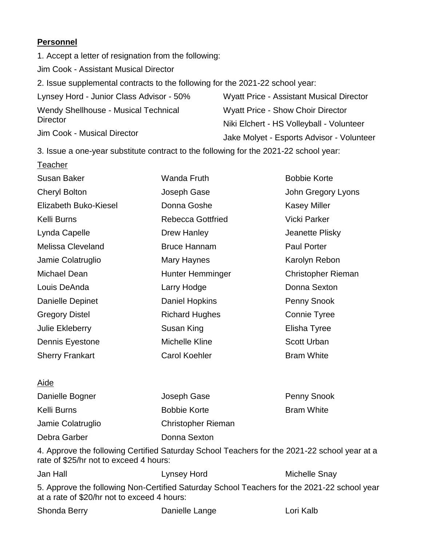### **Personnel**

1. Accept a letter of resignation from the following: Jim Cook - Assistant Musical Director 2. Issue supplemental contracts to the following for the 2021-22 school year: Lynsey Hord - Junior Class Advisor - 50% Wendy Shellhouse - Musical Technical **Director** Jim Cook - Musical Director Wyatt Price - Assistant Musical Director Wyatt Price - Show Choir Director Niki Elchert - HS Volleyball - Volunteer Jake Molyet - Esports Advisor - Volunteer

3. Issue a one-year substitute contract to the following for the 2021-22 school year:

| <b>Teacher</b>         |                       |                     |
|------------------------|-----------------------|---------------------|
| Susan Baker            | Wanda Fruth           | <b>Bobbie Korte</b> |
| <b>Cheryl Bolton</b>   | Joseph Gase           | John Gregory Lyons  |
| Elizabeth Buko-Kiesel  | Donna Goshe           | <b>Kasey Miller</b> |
| Kelli Burns            | Rebecca Gottfried     | <b>Vicki Parker</b> |
| Lynda Capelle          | Drew Hanley           | Jeanette Plisky     |
| Melissa Cleveland      | <b>Bruce Hannam</b>   | <b>Paul Porter</b>  |
| Jamie Colatruglio      | Mary Haynes           | Karolyn Rebon       |
| Michael Dean           | Hunter Hemminger      | Christopher Rieman  |
| Louis DeAnda           | Larry Hodge           | Donna Sexton        |
| Danielle Depinet       | Daniel Hopkins        | Penny Snook         |
| <b>Gregory Distel</b>  | <b>Richard Hughes</b> | Connie Tyree        |
| <b>Julie Ekleberry</b> | Susan King            | Elisha Tyree        |
| Dennis Eyestone        | Michelle Kline        | <b>Scott Urban</b>  |
| <b>Sherry Frankart</b> | <b>Carol Koehler</b>  | <b>Bram White</b>   |

### Aide

| Danielle Bogner   | Joseph Gase               | <b>Penny Snook</b> |
|-------------------|---------------------------|--------------------|
| Kelli Burns       | <b>Bobbie Korte</b>       | <b>Bram White</b>  |
| Jamie Colatruglio | <b>Christopher Rieman</b> |                    |
| Debra Garber      | Donna Sexton              |                    |

4. Approve the following Certified Saturday School Teachers for the 2021-22 school year at a rate of \$25/hr not to exceed 4 hours:

| Jan Hall                                    | Lynsey Hord                                                                                 | Michelle Snay |  |
|---------------------------------------------|---------------------------------------------------------------------------------------------|---------------|--|
| at a rate of \$20/hr not to exceed 4 hours: | 5. Approve the following Non-Certified Saturday School Teachers for the 2021-22 school year |               |  |
| Shonda Berry                                | Danielle Lange                                                                              | Lori Kalb     |  |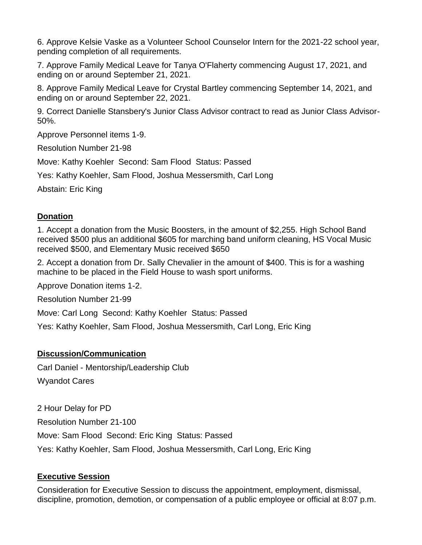6. Approve Kelsie Vaske as a Volunteer School Counselor Intern for the 2021-22 school year, pending completion of all requirements.

7. Approve Family Medical Leave for Tanya O'Flaherty commencing August 17, 2021, and ending on or around September 21, 2021.

8. Approve Family Medical Leave for Crystal Bartley commencing September 14, 2021, and ending on or around September 22, 2021.

9. Correct Danielle Stansbery's Junior Class Advisor contract to read as Junior Class Advisor-50%.

Approve Personnel items 1-9.

Resolution Number 21-98

Move: Kathy Koehler Second: Sam Flood Status: Passed

Yes: Kathy Koehler, Sam Flood, Joshua Messersmith, Carl Long

Abstain: Eric King

### **Donation**

1. Accept a donation from the Music Boosters, in the amount of \$2,255. High School Band received \$500 plus an additional \$605 for marching band uniform cleaning, HS Vocal Music received \$500, and Elementary Music received \$650

2. Accept a donation from Dr. Sally Chevalier in the amount of \$400. This is for a washing machine to be placed in the Field House to wash sport uniforms.

Approve Donation items 1-2.

Resolution Number 21-99

Move: Carl Long Second: Kathy Koehler Status: Passed

Yes: Kathy Koehler, Sam Flood, Joshua Messersmith, Carl Long, Eric King

### **Discussion/Communication**

Carl Daniel - Mentorship/Leadership Club Wyandot Cares

2 Hour Delay for PD Resolution Number 21-100 Move: Sam Flood Second: Eric King Status: Passed Yes: Kathy Koehler, Sam Flood, Joshua Messersmith, Carl Long, Eric King

### **Executive Session**

Consideration for Executive Session to discuss the appointment, employment, dismissal, discipline, promotion, demotion, or compensation of a public employee or official at 8:07 p.m.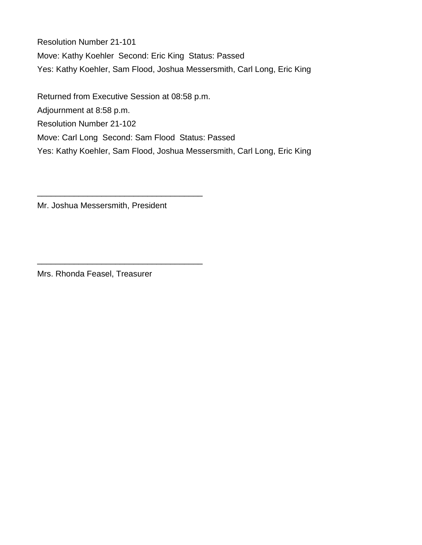Resolution Number 21-101 Move: Kathy Koehler Second: Eric King Status: Passed Yes: Kathy Koehler, Sam Flood, Joshua Messersmith, Carl Long, Eric King

Returned from Executive Session at 08:58 p.m. Adjournment at 8:58 p.m. Resolution Number 21-102 Move: Carl Long Second: Sam Flood Status: Passed Yes: Kathy Koehler, Sam Flood, Joshua Messersmith, Carl Long, Eric King

Mr. Joshua Messersmith, President

\_\_\_\_\_\_\_\_\_\_\_\_\_\_\_\_\_\_\_\_\_\_\_\_\_\_\_\_\_\_\_\_\_\_\_\_

\_\_\_\_\_\_\_\_\_\_\_\_\_\_\_\_\_\_\_\_\_\_\_\_\_\_\_\_\_\_\_\_\_\_\_\_

Mrs. Rhonda Feasel, Treasurer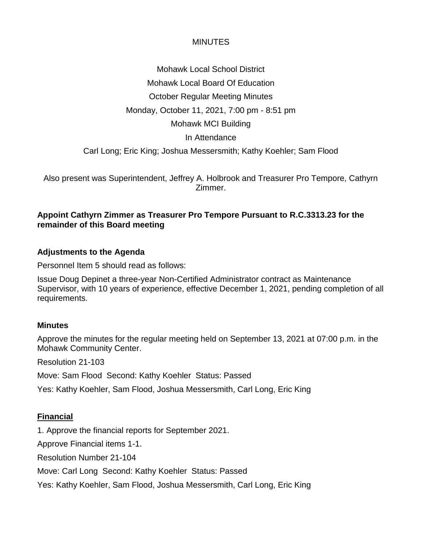Mohawk Local School District Mohawk Local Board Of Education October Regular Meeting Minutes Monday, October 11, 2021, 7:00 pm - 8:51 pm Mohawk MCI Building In Attendance Carl Long; Eric King; Joshua Messersmith; Kathy Koehler; Sam Flood

Also present was Superintendent, Jeffrey A. Holbrook and Treasurer Pro Tempore, Cathyrn Zimmer.

### **Appoint Cathyrn Zimmer as Treasurer Pro Tempore Pursuant to R.C.3313.23 for the remainder of this Board meeting**

### **Adjustments to the Agenda**

Personnel Item 5 should read as follows:

Issue Doug Depinet a three-year Non-Certified Administrator contract as Maintenance Supervisor, with 10 years of experience, effective December 1, 2021, pending completion of all requirements.

#### **Minutes**

Approve the minutes for the regular meeting held on September 13, 2021 at 07:00 p.m. in the Mohawk Community Center.

Resolution 21-103

Move: Sam Flood Second: Kathy Koehler Status: Passed

Yes: Kathy Koehler, Sam Flood, Joshua Messersmith, Carl Long, Eric King

#### **Financial**

1. Approve the financial reports for September 2021.

Approve Financial items 1-1.

Resolution Number 21-104

Move: Carl Long Second: Kathy Koehler Status: Passed

Yes: Kathy Koehler, Sam Flood, Joshua Messersmith, Carl Long, Eric King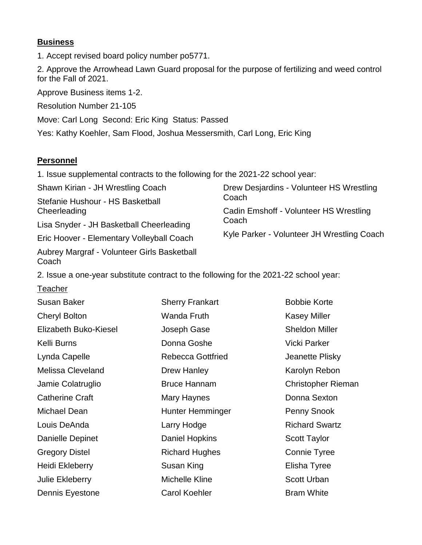### **Business**

1. Accept revised board policy number po5771.

2. Approve the Arrowhead Lawn Guard proposal for the purpose of fertilizing and weed control for the Fall of 2021.

Approve Business items 1-2.

Resolution Number 21-105

Move: Carl Long Second: Eric King Status: Passed

Yes: Kathy Koehler, Sam Flood, Joshua Messersmith, Carl Long, Eric King

### **Personnel**

1. Issue supplemental contracts to the following for the 2021-22 school year:

Shawn Kirian - JH Wrestling Coach Stefanie Hushour - HS Basketball **Cheerleading** Lisa Snyder - JH Basketball Cheerleading Eric Hoover - Elementary Volleyball Coach Drew Desjardins - Volunteer HS Wrestling Coach Cadin Emshoff - Volunteer HS Wrestling **Coach** Kyle Parker - Volunteer JH Wrestling Coach

Aubrey Margraf - Volunteer Girls Basketball Coach

2. Issue a one-year substitute contract to the following for the 2021-22 school year:

**Teacher** 

| <b>Susan Baker</b>       | <b>Sherry Frankart</b>   | <b>Bobbie Korte</b>   |
|--------------------------|--------------------------|-----------------------|
| <b>Cheryl Bolton</b>     | Wanda Fruth              | <b>Kasey Miller</b>   |
| Elizabeth Buko-Kiesel    | Joseph Gase              | <b>Sheldon Miller</b> |
| Kelli Burns              | Donna Goshe              | <b>Vicki Parker</b>   |
| Lynda Capelle            | <b>Rebecca Gottfried</b> | Jeanette Plisky       |
| <b>Melissa Cleveland</b> | Drew Hanley              | Karolyn Rebon         |
| Jamie Colatruglio        | <b>Bruce Hannam</b>      | Christopher Rieman    |
| <b>Catherine Craft</b>   | Mary Haynes              | Donna Sexton          |
| Michael Dean             | Hunter Hemminger         | Penny Snook           |
| Louis DeAnda             | Larry Hodge              | <b>Richard Swartz</b> |
| Danielle Depinet         | Daniel Hopkins           | <b>Scott Taylor</b>   |
| <b>Gregory Distel</b>    | <b>Richard Hughes</b>    | Connie Tyree          |
| Heidi Ekleberry          | Susan King               | Elisha Tyree          |
| <b>Julie Ekleberry</b>   | Michelle Kline           | <b>Scott Urban</b>    |
| Dennis Eyestone          | <b>Carol Koehler</b>     | <b>Bram White</b>     |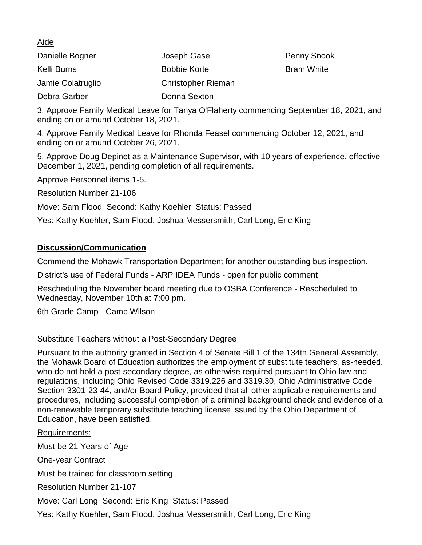#### Aide

| Danielle Bogner   | Joseph Gase               | <b>Penny Snook</b> |
|-------------------|---------------------------|--------------------|
| Kelli Burns       | <b>Bobbie Korte</b>       | <b>Bram White</b>  |
| Jamie Colatruglio | <b>Christopher Rieman</b> |                    |
| Debra Garber      | Donna Sexton              |                    |

3. Approve Family Medical Leave for Tanya O'Flaherty commencing September 18, 2021, and ending on or around October 18, 2021.

4. Approve Family Medical Leave for Rhonda Feasel commencing October 12, 2021, and ending on or around October 26, 2021.

5. Approve Doug Depinet as a Maintenance Supervisor, with 10 years of experience, effective December 1, 2021, pending completion of all requirements.

Approve Personnel items 1-5.

Resolution Number 21-106

Move: Sam Flood Second: Kathy Koehler Status: Passed

Yes: Kathy Koehler, Sam Flood, Joshua Messersmith, Carl Long, Eric King

#### **Discussion/Communication**

Commend the Mohawk Transportation Department for another outstanding bus inspection.

District's use of Federal Funds - ARP IDEA Funds - open for public comment

Rescheduling the November board meeting due to OSBA Conference - Rescheduled to Wednesday, November 10th at 7:00 pm.

6th Grade Camp - Camp Wilson

Substitute Teachers without a Post-Secondary Degree

Pursuant to the authority granted in Section 4 of Senate Bill 1 of the 134th General Assembly, the Mohawk Board of Education authorizes the employment of substitute teachers, as-needed, who do not hold a post-secondary degree, as otherwise required pursuant to Ohio law and regulations, including Ohio Revised Code 3319.226 and 3319.30, Ohio Administrative Code Section 3301-23-44, and/or Board Policy, provided that all other applicable requirements and procedures, including successful completion of a criminal background check and evidence of a non-renewable temporary substitute teaching license issued by the Ohio Department of Education, have been satisfied.

Requirements: Must be 21 Years of Age One-year Contract Must be trained for classroom setting Resolution Number 21-107 Move: Carl Long Second: Eric King Status: Passed

Yes: Kathy Koehler, Sam Flood, Joshua Messersmith, Carl Long, Eric King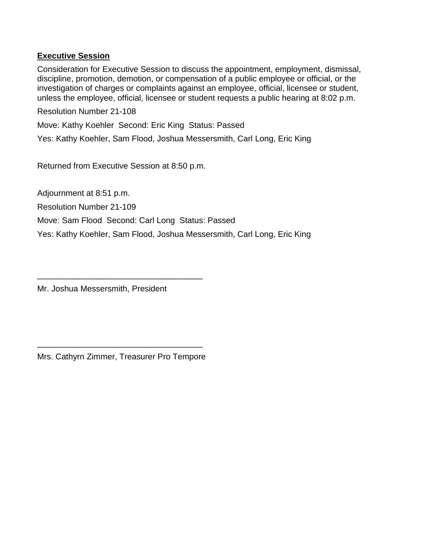#### **Executive Session**

Consideration for Executive Session to discuss the appointment, employment, dismissal, discipline, promotion, demotion, or compensation of a public employee or official, or the investigation of charges or complaints against an employee, official, licensee or student, unless the employee, official, licensee or student requests a public hearing at 8:02 p.m.

Resolution Number 21-108

Move: Kathy Koehler Second: Eric King Status: Passed

Yes: Kathy Koehler, Sam Flood, Joshua Messersmith, Carl Long, Eric King

Returned from Executive Session at 8:50 p.m.

Adjournment at 8:51 p.m.

Resolution Number 21-109

Move: Sam Flood Second: Carl Long Status: Passed

Yes: Kathy Koehler, Sam Flood, Joshua Messersmith, Carl Long, Eric King

Mr. Joshua Messersmith, President

\_\_\_\_\_\_\_\_\_\_\_\_\_\_\_\_\_\_\_\_\_\_\_\_\_\_\_\_\_\_\_\_\_\_\_\_ Mrs. Cathyrn Zimmer, Treasurer Pro Tempore

\_\_\_\_\_\_\_\_\_\_\_\_\_\_\_\_\_\_\_\_\_\_\_\_\_\_\_\_\_\_\_\_\_\_\_\_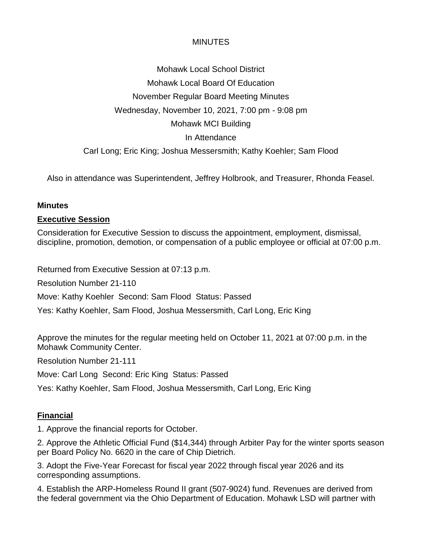Mohawk Local School District Mohawk Local Board Of Education November Regular Board Meeting Minutes Wednesday, November 10, 2021, 7:00 pm - 9:08 pm Mohawk MCI Building In Attendance Carl Long; Eric King; Joshua Messersmith; Kathy Koehler; Sam Flood

Also in attendance was Superintendent, Jeffrey Holbrook, and Treasurer, Rhonda Feasel.

### **Minutes**

### **Executive Session**

Consideration for Executive Session to discuss the appointment, employment, dismissal, discipline, promotion, demotion, or compensation of a public employee or official at 07:00 p.m.

Returned from Executive Session at 07:13 p.m.

Resolution Number 21-110

Move: Kathy Koehler Second: Sam Flood Status: Passed

Yes: Kathy Koehler, Sam Flood, Joshua Messersmith, Carl Long, Eric King

Approve the minutes for the regular meeting held on October 11, 2021 at 07:00 p.m. in the Mohawk Community Center.

Resolution Number 21-111

Move: Carl Long Second: Eric King Status: Passed

Yes: Kathy Koehler, Sam Flood, Joshua Messersmith, Carl Long, Eric King

### **Financial**

1. Approve the financial reports for October.

2. Approve the Athletic Official Fund (\$14,344) through Arbiter Pay for the winter sports season per Board Policy No. 6620 in the care of Chip Dietrich.

3. Adopt the Five-Year Forecast for fiscal year 2022 through fiscal year 2026 and its corresponding assumptions.

4. Establish the ARP-Homeless Round II grant (507-9024) fund. Revenues are derived from the federal government via the Ohio Department of Education. Mohawk LSD will partner with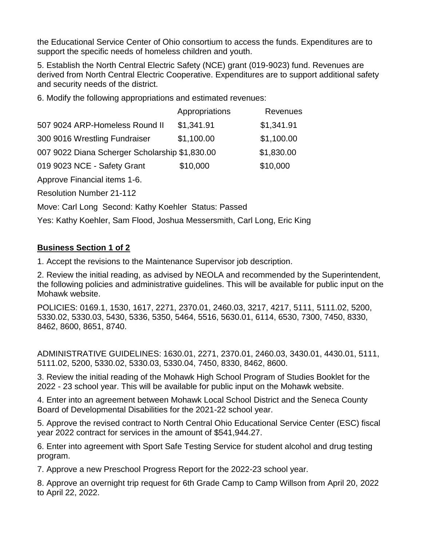the Educational Service Center of Ohio consortium to access the funds. Expenditures are to support the specific needs of homeless children and youth.

5. Establish the North Central Electric Safety (NCE) grant (019-9023) fund. Revenues are derived from North Central Electric Cooperative. Expenditures are to support additional safety and security needs of the district.

6. Modify the following appropriations and estimated revenues:

|                                                | Appropriations | Revenues   |
|------------------------------------------------|----------------|------------|
| 507 9024 ARP-Homeless Round II                 | \$1,341.91     | \$1,341.91 |
| 300 9016 Wrestling Fundraiser                  | \$1,100.00     | \$1,100.00 |
| 007 9022 Diana Scherger Scholarship \$1,830.00 |                | \$1,830.00 |
| 019 9023 NCE - Safety Grant                    | \$10,000       | \$10,000   |

Approve Financial items 1-6.

Resolution Number 21-112

Move: Carl Long Second: Kathy Koehler Status: Passed

Yes: Kathy Koehler, Sam Flood, Joshua Messersmith, Carl Long, Eric King

### **Business Section 1 of 2**

1. Accept the revisions to the Maintenance Supervisor job description.

2. Review the initial reading, as advised by NEOLA and recommended by the Superintendent, the following policies and administrative guidelines. This will be available for public input on the Mohawk website.

POLICIES: 0169.1, 1530, 1617, 2271, 2370.01, 2460.03, 3217, 4217, 5111, 5111.02, 5200, 5330.02, 5330.03, 5430, 5336, 5350, 5464, 5516, 5630.01, 6114, 6530, 7300, 7450, 8330, 8462, 8600, 8651, 8740.

ADMINISTRATIVE GUIDELINES: 1630.01, 2271, 2370.01, 2460.03, 3430.01, 4430.01, 5111, 5111.02, 5200, 5330.02, 5330.03, 5330.04, 7450, 8330, 8462, 8600.

3. Review the initial reading of the Mohawk High School Program of Studies Booklet for the 2022 - 23 school year. This will be available for public input on the Mohawk website.

4. Enter into an agreement between Mohawk Local School District and the Seneca County Board of Developmental Disabilities for the 2021-22 school year.

5. Approve the revised contract to North Central Ohio Educational Service Center (ESC) fiscal year 2022 contract for services in the amount of \$541,944.27.

6. Enter into agreement with Sport Safe Testing Service for student alcohol and drug testing program.

7. Approve a new Preschool Progress Report for the 2022-23 school year.

8. Approve an overnight trip request for 6th Grade Camp to Camp Willson from April 20, 2022 to April 22, 2022.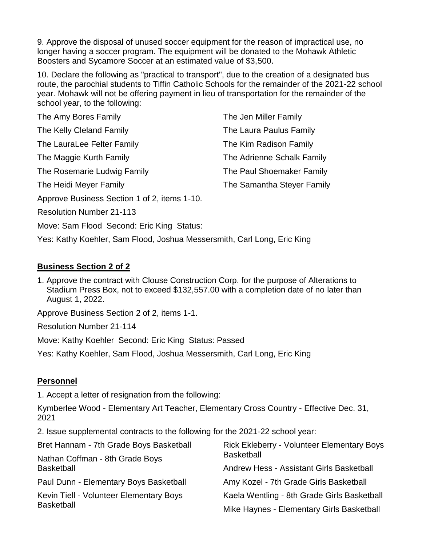9. Approve the disposal of unused soccer equipment for the reason of impractical use, no longer having a soccer program. The equipment will be donated to the Mohawk Athletic Boosters and Sycamore Soccer at an estimated value of \$3,500.

10. Declare the following as "practical to transport", due to the creation of a designated bus route, the parochial students to Tiffin Catholic Schools for the remainder of the 2021-22 school year. Mohawk will not be offering payment in lieu of transportation for the remainder of the school year, to the following:

| The Amy Bores Family                         | The Jen Miller Family      |
|----------------------------------------------|----------------------------|
| The Kelly Cleland Family                     | The Laura Paulus Family    |
| The LauraLee Felter Family                   | The Kim Radison Family     |
| The Maggie Kurth Family                      | The Adrienne Schalk Family |
| The Rosemarie Ludwig Family                  | The Paul Shoemaker Family  |
| The Heidi Meyer Family                       | The Samantha Steyer Family |
| Approve Business Section 1 of 2, items 1-10. |                            |
| <b>Resolution Number 21-113</b>              |                            |

Move: Sam Flood Second: Eric King Status:

Yes: Kathy Koehler, Sam Flood, Joshua Messersmith, Carl Long, Eric King

#### **Business Section 2 of 2**

1. Approve the contract with Clouse Construction Corp. for the purpose of Alterations to Stadium Press Box, not to exceed \$132,557.00 with a completion date of no later than August 1, 2022.

Approve Business Section 2 of 2, items 1-1.

Resolution Number 21-114

Move: Kathy Koehler Second: Eric King Status: Passed

Yes: Kathy Koehler, Sam Flood, Joshua Messersmith, Carl Long, Eric King

#### **Personnel**

1. Accept a letter of resignation from the following:

Kymberlee Wood - Elementary Art Teacher, Elementary Cross Country - Effective Dec. 31, 2021

2. Issue supplemental contracts to the following for the 2021-22 school year:

| Bret Hannam - 7th Grade Boys Basketball                      | <b>Rick Ekleberry - Volunteer Elementary Boys</b><br><b>Basketball</b> |  |
|--------------------------------------------------------------|------------------------------------------------------------------------|--|
| Nathan Coffman - 8th Grade Boys<br><b>Basketball</b>         |                                                                        |  |
|                                                              | Andrew Hess - Assistant Girls Basketball                               |  |
| Paul Dunn - Elementary Boys Basketball                       | Amy Kozel - 7th Grade Girls Basketball                                 |  |
| Kevin Tiell - Volunteer Elementary Boys<br><b>Basketball</b> | Kaela Wentling - 8th Grade Girls Basketball                            |  |
|                                                              | Mike Haynes - Elementary Girls Basketball                              |  |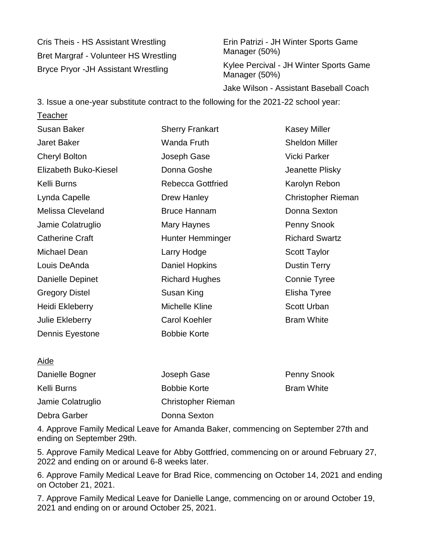Cris Theis - HS Assistant Wrestling Bret Margraf - Volunteer HS Wrestling Bryce Pryor -JH Assistant Wrestling

**Teacher** 

Erin Patrizi - JH Winter Sports Game Manager (50%)

Kylee Percival - JH Winter Sports Game Manager (50%)

Jake Wilson - Assistant Baseball Coach

3. Issue a one-year substitute contract to the following for the 2021-22 school year:

Susan Baker Jaret Baker Cheryl Bolton Elizabeth Buko-Kiesel Kelli Burns Lynda Capelle Melissa Cleveland Jamie Colatruglio Catherine Craft Michael Dean Louis DeAnda Danielle Depinet Gregory Distel Heidi Ekleberry Julie Ekleberry Dennis Eyestone Sherry Frankart Wanda Fruth Joseph Gase Donna Goshe Rebecca Gottfried Drew Hanley Bruce Hannam Mary Haynes Hunter Hemminger Larry Hodge Daniel Hopkins Richard Hughes Susan King Michelle Kline Carol Koehler Bobbie Korte Kasey Miller Sheldon Miller Vicki Parker Jeanette Plisky Karolyn Rebon Christopher Rieman Donna Sexton Penny Snook Richard Swartz Scott Taylor Dustin Terry Connie Tyree Elisha Tyree Scott Urban Bram White

#### Aide Danielle Bogner Kelli Burns Jamie Colatruglio Debra Garber Joseph Gase Bobbie Korte Christopher Rieman Donna Sexton Penny Snook Bram White

4. Approve Family Medical Leave for Amanda Baker, commencing on September 27th and ending on September 29th.

5. Approve Family Medical Leave for Abby Gottfried, commencing on or around February 27, 2022 and ending on or around 6-8 weeks later.

6. Approve Family Medical Leave for Brad Rice, commencing on October 14, 2021 and ending on October 21, 2021.

7. Approve Family Medical Leave for Danielle Lange, commencing on or around October 19, 2021 and ending on or around October 25, 2021.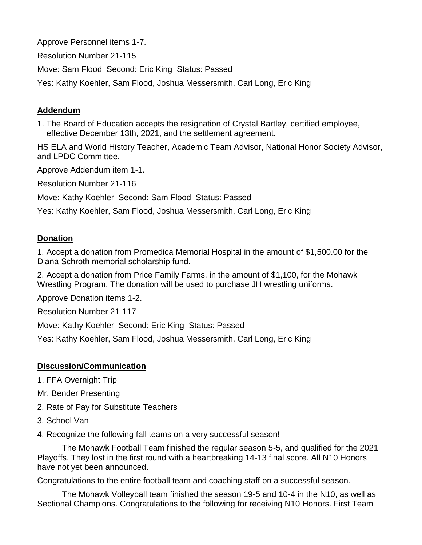Approve Personnel items 1-7.

Resolution Number 21-115

Move: Sam Flood Second: Eric King Status: Passed

Yes: Kathy Koehler, Sam Flood, Joshua Messersmith, Carl Long, Eric King

## **Addendum**

1. The Board of Education accepts the resignation of Crystal Bartley, certified employee, effective December 13th, 2021, and the settlement agreement.

HS ELA and World History Teacher, Academic Team Advisor, National Honor Society Advisor, and LPDC Committee.

Approve Addendum item 1-1.

Resolution Number 21-116

Move: Kathy Koehler Second: Sam Flood Status: Passed

Yes: Kathy Koehler, Sam Flood, Joshua Messersmith, Carl Long, Eric King

### **Donation**

1. Accept a donation from Promedica Memorial Hospital in the amount of \$1,500.00 for the Diana Schroth memorial scholarship fund.

2. Accept a donation from Price Family Farms, in the amount of \$1,100, for the Mohawk Wrestling Program. The donation will be used to purchase JH wrestling uniforms.

Approve Donation items 1-2.

Resolution Number 21-117

Move: Kathy Koehler Second: Eric King Status: Passed

Yes: Kathy Koehler, Sam Flood, Joshua Messersmith, Carl Long, Eric King

### **Discussion/Communication**

- 1. FFA Overnight Trip
- Mr. Bender Presenting
- 2. Rate of Pay for Substitute Teachers
- 3. School Van

4. Recognize the following fall teams on a very successful season!

The Mohawk Football Team finished the regular season 5-5, and qualified for the 2021 Playoffs. They lost in the first round with a heartbreaking 14-13 final score. All N10 Honors have not yet been announced.

Congratulations to the entire football team and coaching staff on a successful season.

The Mohawk Volleyball team finished the season 19-5 and 10-4 in the N10, as well as Sectional Champions. Congratulations to the following for receiving N10 Honors. First Team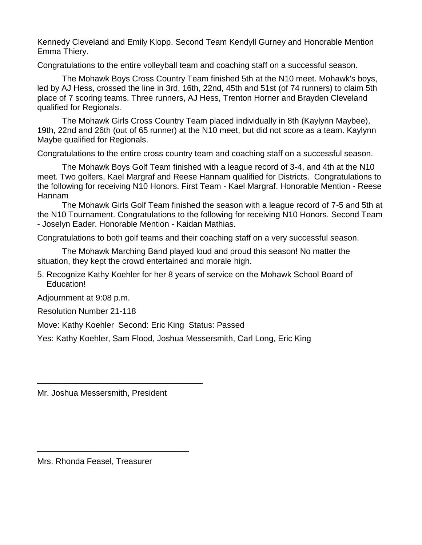Kennedy Cleveland and Emily Klopp. Second Team Kendyll Gurney and Honorable Mention Emma Thiery.

Congratulations to the entire volleyball team and coaching staff on a successful season.

The Mohawk Boys Cross Country Team finished 5th at the N10 meet. Mohawk's boys, led by AJ Hess, crossed the line in 3rd, 16th, 22nd, 45th and 51st (of 74 runners) to claim 5th place of 7 scoring teams. Three runners, AJ Hess, Trenton Horner and Brayden Cleveland qualified for Regionals.

The Mohawk Girls Cross Country Team placed individually in 8th (Kaylynn Maybee), 19th, 22nd and 26th (out of 65 runner) at the N10 meet, but did not score as a team. Kaylynn Maybe qualified for Regionals.

Congratulations to the entire cross country team and coaching staff on a successful season.

The Mohawk Boys Golf Team finished with a league record of 3-4, and 4th at the N10 meet. Two golfers, Kael Margraf and Reese Hannam qualified for Districts. Congratulations to the following for receiving N10 Honors. First Team - Kael Margraf. Honorable Mention - Reese Hannam

The Mohawk Girls Golf Team finished the season with a league record of 7-5 and 5th at the N10 Tournament. Congratulations to the following for receiving N10 Honors. Second Team - Joselyn Eader. Honorable Mention - Kaidan Mathias.

Congratulations to both golf teams and their coaching staff on a very successful season.

The Mohawk Marching Band played loud and proud this season! No matter the situation, they kept the crowd entertained and morale high.

5. Recognize Kathy Koehler for her 8 years of service on the Mohawk School Board of Education!

Adjournment at 9:08 p.m.

Resolution Number 21-118

Move: Kathy Koehler Second: Eric King Status: Passed

Yes: Kathy Koehler, Sam Flood, Joshua Messersmith, Carl Long, Eric King

Mr. Joshua Messersmith, President

\_\_\_\_\_\_\_\_\_\_\_\_\_\_\_\_\_\_\_\_\_\_\_\_\_\_\_\_\_\_\_\_\_\_\_\_

\_\_\_\_\_\_\_\_\_\_\_\_\_\_\_\_\_\_\_\_\_\_\_\_\_\_\_\_\_\_\_\_\_

Mrs. Rhonda Feasel, Treasurer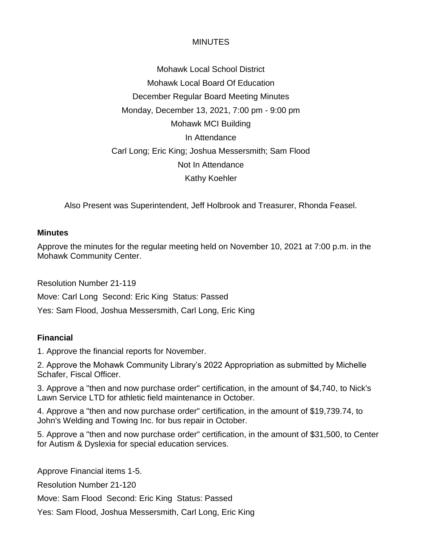Mohawk Local School District Mohawk Local Board Of Education December Regular Board Meeting Minutes Monday, December 13, 2021, 7:00 pm - 9:00 pm Mohawk MCI Building In Attendance Carl Long; Eric King; Joshua Messersmith; Sam Flood Not In Attendance Kathy Koehler

Also Present was Superintendent, Jeff Holbrook and Treasurer, Rhonda Feasel.

#### **Minutes**

Approve the minutes for the regular meeting held on November 10, 2021 at 7:00 p.m. in the Mohawk Community Center.

Resolution Number 21-119

Move: Carl Long Second: Eric King Status: Passed

Yes: Sam Flood, Joshua Messersmith, Carl Long, Eric King

### **Financial**

1. Approve the financial reports for November.

2. Approve the Mohawk Community Library's 2022 Appropriation as submitted by Michelle Schafer, Fiscal Officer.

3. Approve a "then and now purchase order" certification, in the amount of \$4,740, to Nick's Lawn Service LTD for athletic field maintenance in October.

4. Approve a "then and now purchase order" certification, in the amount of \$19,739.74, to John's Welding and Towing Inc. for bus repair in October.

5. Approve a "then and now purchase order" certification, in the amount of \$31,500, to Center for Autism & Dyslexia for special education services.

Approve Financial items 1-5.

Resolution Number 21-120

Move: Sam Flood Second: Eric King Status: Passed

Yes: Sam Flood, Joshua Messersmith, Carl Long, Eric King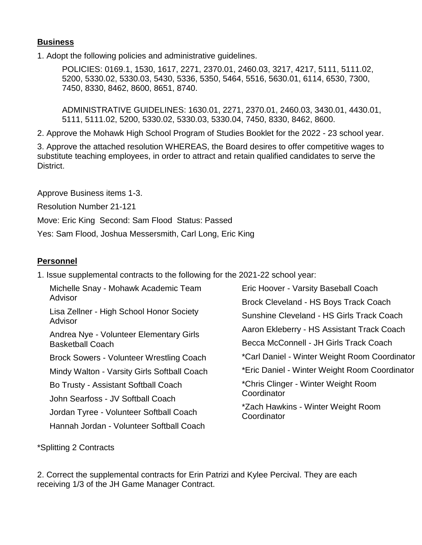### **Business**

1. Adopt the following policies and administrative guidelines.

POLICIES: 0169.1, 1530, 1617, 2271, 2370.01, 2460.03, 3217, 4217, 5111, 5111.02, 5200, 5330.02, 5330.03, 5430, 5336, 5350, 5464, 5516, 5630.01, 6114, 6530, 7300, 7450, 8330, 8462, 8600, 8651, 8740.

ADMINISTRATIVE GUIDELINES: 1630.01, 2271, 2370.01, 2460.03, 3430.01, 4430.01, 5111, 5111.02, 5200, 5330.02, 5330.03, 5330.04, 7450, 8330, 8462, 8600.

2. Approve the Mohawk High School Program of Studies Booklet for the 2022 - 23 school year.

3. Approve the attached resolution WHEREAS, the Board desires to offer competitive wages to substitute teaching employees, in order to attract and retain qualified candidates to serve the District.

Approve Business items 1-3.

Resolution Number 21-121

Move: Eric King Second: Sam Flood Status: Passed

Yes: Sam Flood, Joshua Messersmith, Carl Long, Eric King

### **Personnel**

1. Issue supplemental contracts to the following for the 2021-22 school year:

Michelle Snay - Mohawk Academic Team Advisor Lisa Zellner - High School Honor Society Advisor Andrea Nye - Volunteer Elementary Girls Basketball Coach Brock Sowers - Volunteer Wrestling Coach Mindy Walton - Varsity Girls Softball Coach Bo Trusty - Assistant Softball Coach John Searfoss - JV Softball Coach Jordan Tyree - Volunteer Softball Coach Hannah Jordan - Volunteer Softball Coach

Eric Hoover - Varsity Baseball Coach Brock Cleveland - HS Boys Track Coach Sunshine Cleveland - HS Girls Track Coach Aaron Ekleberry - HS Assistant Track Coach Becca McConnell - JH Girls Track Coach \*Carl Daniel - Winter Weight Room Coordinator \*Eric Daniel - Winter Weight Room Coordinator \*Chris Clinger - Winter Weight Room **Coordinator** \*Zach Hawkins - Winter Weight Room **Coordinator** 

\*Splitting 2 Contracts

2. Correct the supplemental contracts for Erin Patrizi and Kylee Percival. They are each receiving 1/3 of the JH Game Manager Contract.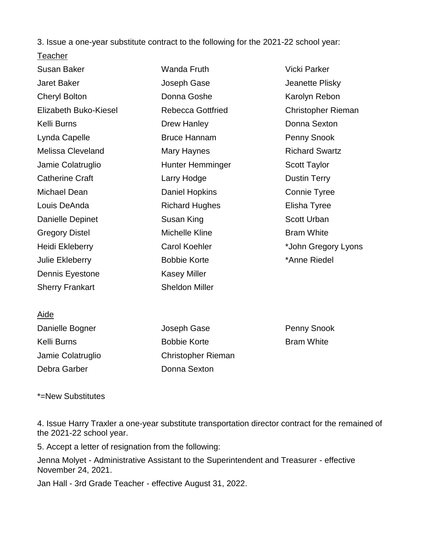3. Issue a one-year substitute contract to the following for the 2021-22 school year:

### **Teacher**

| Susan Baker              | Wanda Fruth              | <b>Vicki Parker</b>       |
|--------------------------|--------------------------|---------------------------|
| <b>Jaret Baker</b>       | Joseph Gase              | Jeanette Plisky           |
| <b>Cheryl Bolton</b>     | Donna Goshe              | Karolyn Rebon             |
| Elizabeth Buko-Kiesel    | <b>Rebecca Gottfried</b> | <b>Christopher Rieman</b> |
| Kelli Burns              | <b>Drew Hanley</b>       | Donna Sexton              |
| Lynda Capelle            | <b>Bruce Hannam</b>      | Penny Snook               |
| <b>Melissa Cleveland</b> | Mary Haynes              | <b>Richard Swartz</b>     |
| Jamie Colatruglio        | Hunter Hemminger         | <b>Scott Taylor</b>       |
| <b>Catherine Craft</b>   | Larry Hodge              | <b>Dustin Terry</b>       |
| Michael Dean             | Daniel Hopkins           | Connie Tyree              |
| Louis DeAnda             | <b>Richard Hughes</b>    | Elisha Tyree              |
| Danielle Depinet         | Susan King               | <b>Scott Urban</b>        |
| <b>Gregory Distel</b>    | Michelle Kline           | <b>Bram White</b>         |
| Heidi Ekleberry          | <b>Carol Koehler</b>     | *John Gregory Lyons       |
| Julie Ekleberry          | <b>Bobbie Korte</b>      | *Anne Riedel              |
| Dennis Eyestone          | <b>Kasey Miller</b>      |                           |
| <b>Sherry Frankart</b>   | <b>Sheldon Miller</b>    |                           |
|                          |                          |                           |

### Aide

| Danielle Bogner   | Joseph Gase               |
|-------------------|---------------------------|
| Kelli Burns       | <b>Bobbie Korte</b>       |
| Jamie Colatruglio | <b>Christopher Rieman</b> |
| Debra Garber      | Donna Sexton              |

Penny Snook Bram White

#### \*=New Substitutes

4. Issue Harry Traxler a one-year substitute transportation director contract for the remained of the 2021-22 school year.

5. Accept a letter of resignation from the following:

Jenna Molyet - Administrative Assistant to the Superintendent and Treasurer - effective November 24, 2021.

Jan Hall - 3rd Grade Teacher - effective August 31, 2022.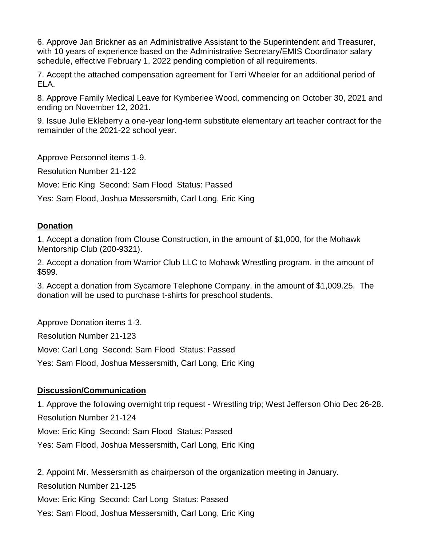6. Approve Jan Brickner as an Administrative Assistant to the Superintendent and Treasurer, with 10 years of experience based on the Administrative Secretary/EMIS Coordinator salary schedule, effective February 1, 2022 pending completion of all requirements.

7. Accept the attached compensation agreement for Terri Wheeler for an additional period of ELA.

8. Approve Family Medical Leave for Kymberlee Wood, commencing on October 30, 2021 and ending on November 12, 2021.

9. Issue Julie Ekleberry a one-year long-term substitute elementary art teacher contract for the remainder of the 2021-22 school year.

Approve Personnel items 1-9.

Resolution Number 21-122

Move: Eric King Second: Sam Flood Status: Passed

Yes: Sam Flood, Joshua Messersmith, Carl Long, Eric King

### **Donation**

1. Accept a donation from Clouse Construction, in the amount of \$1,000, for the Mohawk Mentorship Club (200-9321).

2. Accept a donation from Warrior Club LLC to Mohawk Wrestling program, in the amount of \$599.

3. Accept a donation from Sycamore Telephone Company, in the amount of \$1,009.25. The donation will be used to purchase t-shirts for preschool students.

Approve Donation items 1-3.

Resolution Number 21-123

Move: Carl Long Second: Sam Flood Status: Passed

Yes: Sam Flood, Joshua Messersmith, Carl Long, Eric King

## **Discussion/Communication**

1. Approve the following overnight trip request - Wrestling trip; West Jefferson Ohio Dec 26-28. Resolution Number 21-124

Move: Eric King Second: Sam Flood Status: Passed

Yes: Sam Flood, Joshua Messersmith, Carl Long, Eric King

2. Appoint Mr. Messersmith as chairperson of the organization meeting in January.

Resolution Number 21-125

Move: Eric King Second: Carl Long Status: Passed

Yes: Sam Flood, Joshua Messersmith, Carl Long, Eric King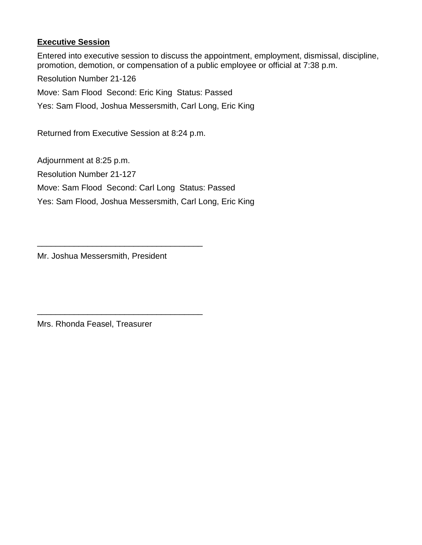# **Executive Session**

Entered into executive session to discuss the appointment, employment, dismissal, discipline, promotion, demotion, or compensation of a public employee or official at 7:38 p.m.

Resolution Number 21-126

Move: Sam Flood Second: Eric King Status: Passed

Yes: Sam Flood, Joshua Messersmith, Carl Long, Eric King

Returned from Executive Session at 8:24 p.m.

Adjournment at 8:25 p.m. Resolution Number 21-127 Move: Sam Flood Second: Carl Long Status: Passed Yes: Sam Flood, Joshua Messersmith, Carl Long, Eric King

Mr. Joshua Messersmith, President

\_\_\_\_\_\_\_\_\_\_\_\_\_\_\_\_\_\_\_\_\_\_\_\_\_\_\_\_\_\_\_\_\_\_\_\_

\_\_\_\_\_\_\_\_\_\_\_\_\_\_\_\_\_\_\_\_\_\_\_\_\_\_\_\_\_\_\_\_\_\_\_\_

Mrs. Rhonda Feasel, Treasurer